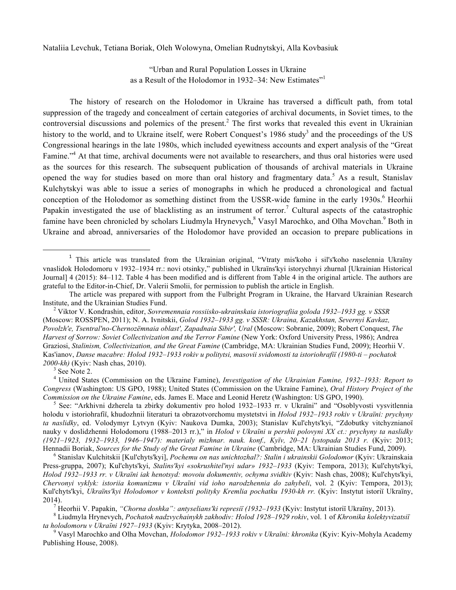Nataliia Levchuk, Tetiana Boriak, Oleh Wolowyna, Omelian Rudnytskyi, Alla Kovbasiuk

"Urban and Rural Population Losses in Ukraine as a Result of the Holodomor in 1932–34: New Estimates"<sup>1</sup>

The history of research on the Holodomor in Ukraine has traversed a difficult path, from total suppression of the tragedy and concealment of certain categories of archival documents, in Soviet times, to the controversial discussions and polemics of the present.<sup>2</sup> The first works that revealed this event in Ukrainian history to the world, and to Ukraine itself, were Robert Conquest's 1986 study<sup>3</sup> and the proceedings of the US Congressional hearings in the late 1980s, which included eyewitness accounts and expert analysis of the "Great Famine."<sup>4</sup> At that time, archival documents were not available to researchers, and thus oral histories were used as the sources for this research. The subsequent publication of thousands of archival materials in Ukraine opened the way for studies based on more than oral history and fragmentary data.<sup>5</sup> As a result, Stanislav Kulchytskyi was able to issue a series of monographs in which he produced a chronological and factual conception of the Holodomor as something distinct from the USSR-wide famine in the early 1930s.<sup>6</sup> Heorhii Papakin investigated the use of blacklisting as an instrument of terror.<sup>7</sup> Cultural aspects of the catastrophic famine have been chronicled by scholars Liudmyla Hrynevych,<sup>8</sup> Vasyl Marochko, and Olha Movchan.<sup>9</sup> Both in Ukraine and abroad, anniversaries of the Holodomor have provided an occasion to prepare publications in

<u> 1989 - Johann Barn, mars ann an t-Amhain an t-Amhain an t-Amhain an t-Amhain an t-Amhain an t-Amhain an t-Amh</u>

*2000-kh*) (Kyiv: Nash chas, 2010).<br><sup>3</sup> See Note 2.<br><sup>4</sup> United States (Commission on the Ukraine Famine), *Investigation of the Ukrainian Famine*, *1932–1933: Report to Congress* (Washington: US GPO, 1988); United States (Commission on the Ukraine Famine), *Oral History Project of the Commission on the Ukraine Famine*, eds. James E. Mace and Leonid Heretz (Washington: US GPO, 1990).<br><sup>5</sup> See: "Arkhivni dzherela ta zbirky dokumentiv pro holod 1932–1933 rr. v Ukraïni" and "Osoblyvosti vysvitlennia

holodu v istoriohrafiï, khudozhnii literaturi ta obrazotvorchomu mystetstvi in *Holod 1932–1933 rokiv v Ukraïni: prychyny ta naslidky*, ed. Volodymyr Lytvyn (Kyiv: Naukova Dumka, 2003); Stanislav Kul'chyts'kyi, "Zdobutky vitchyznianoï nauky v doslidzhenni Holodomoru (1988–2013 rr.)," in *Holod v Ukraïni u pershii polovyni XX ct.: prychyny ta naslidky (1921–1923, 1932–1933, 1946–1947): materialy mizhnar. nauk. konf., Kyïv, 20–21 lystopada 2013 r.* (Kyiv: 2013; Hennadii Boriak, Sources for the Study of the Great Famine in Ukraine (Cambridge, MA: Ukrainian Studies Fund, 2009).<br><sup>6</sup> Stanislav Kulchitskii [Kul'chyts'kyi], *Pochemu on nas unichtozhal?: Stalin i ukrainskii Golodomor* (

Press-gruppa, 2007); Kul'chyts'kyi, *Stalins'kyi «sokrushitel'nyi udar» 1932–1933* (Kyiv: Tempora, 2013); Kul'chyts'kyi, *Holod 1932–1933 rr. v Ukraïni iak henotsyd: movoiu dokumentiv, ochyma svidkiv* (Kyiv: Nash chas, 2008); Kul'chyts'kyi, *Chervonyi vyklyk: istoriia komunizmu v Ukraïni vid ioho narodzhennia do zahybeli*, vol. 2 (Kyiv: Tempora, 2013); Kul'chyts'kyi, *Ukraïns'kyi Holodomor v konteksti polityky Kremlia pochatku 1930-kh rr.* (Kyiv: Instytut istoriï Ukraïny, 2014).<br><sup>7</sup> Heorhii V. Papakin, "Chorna doshka": antyselians'ki represiï (1932–1933 (Kyiv: Instytut istoriï Ukraïny, 2013).<br><sup>8</sup> Liudmyla Hrynevych, *Pochatok nadzvychainykh zakhodiv: Holod 1928–1929 rokiv*, vol. 1 of *Khron* 

*ta holodomoru v Ukraïni 1927–1933* (Kyiv: Krytyka, 2008–2012). 9 Vasyl Marochko and Olha Movchan, *Holodomor 1932–1933 rokiv v Ukraïni: khronika* (Kyiv: Kyiv-Mohyla Academy

Publishing House, 2008).

<sup>1</sup> This article was translated from the Ukrainian original, "Vtraty mis'koho i sil's'koho naselennia Ukraïny vnaslidok Holodomoru v 1932–1934 rr.: novi otsinky," published in Ukraïns'kyi istorychnyi zhurnal [Ukrainian Historical Journal] 4 (2015): 84–112. Table 4 has been modified and is different from Table 4 in the original article. The authors are grateful to the Editor-in-Chief, Dr. Valerii Smolii, for permission to publish the article in English.

The article was prepared with support from the Fulbright Program in Ukraine, the Harvard Ukrainian Research Institute, and the Ukrainian Studies Fund. <sup>2</sup> Viktor V. Kondrashin, editor, *Sovremennaia rossiisko-ukrainskaia istoriografiia goloda 1932–1933 gg. v SSSR*

<sup>(</sup>Moscow: ROSSPEN, 2011); N. A. Ivnitskii, *Golod 1932–1933 gg. v SSSR: Ukraina, Kazakhstan, Severnyi Kavkaz, Povolzh'e, Tsentral'no-Chernozëmnaia oblast', Zapadnaia Sibir', Ural* (Moscow: Sobranie, 2009); Robert Conquest, *The Harvest of Sorrow: Soviet Collectivization and the Terror Famine* (New York: Oxford University Press, 1986); Andrea Graziosi, *Stalinism, Collectivization, and the Great Famine* (Cambridge, MA: Ukrainian Studies Fund, 2009); Heorhii V. Kas'ianov, *Danse macabre: Holod 1932–1933 rokiv u politytsi, masovii svidomosti ta istoriohrafiï (1980-ti – pochatok*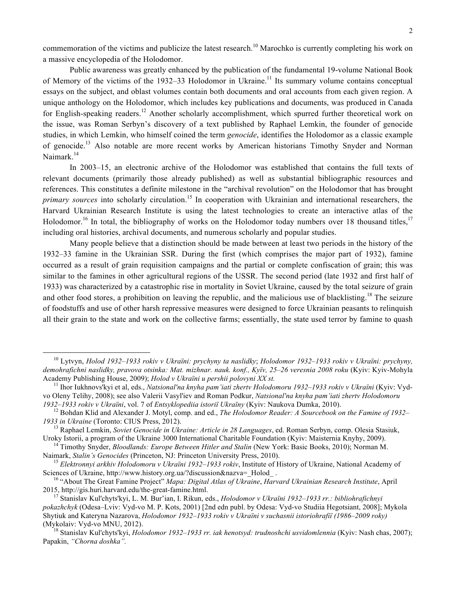commemoration of the victims and publicize the latest research.<sup>10</sup> Marochko is currently completing his work on a massive encyclopedia of the Holodomor.

Public awareness was greatly enhanced by the publication of the fundamental 19-volume National Book of Memory of the victims of the 1932–33 Holodomor in Ukraine.<sup>11</sup> Its summary volume contains conceptual essays on the subject, and oblast volumes contain both documents and oral accounts from each given region. A unique anthology on the Holodomor, which includes key publications and documents, was produced in Canada for English-speaking readers.<sup>12</sup> Another scholarly accomplishment, which spurred further theoretical work on the issue, was Roman Serbyn's discovery of a text published by Raphael Lemkin, the founder of genocide studies, in which Lemkin, who himself coined the term *genocide*, identifies the Holodomor as a classic example of genocide.<sup>13</sup> Also notable are more recent works by American historians Timothy Snyder and Norman Naimark.<sup>14</sup>

In 2003–15, an electronic archive of the Holodomor was established that contains the full texts of relevant documents (primarily those already published) as well as substantial bibliographic resources and references. This constitutes a definite milestone in the "archival revolution" on the Holodomor that has brought *primary sources* into scholarly circulation.<sup>15</sup> In cooperation with Ukrainian and international researchers, the Harvard Ukrainian Research Institute is using the latest technologies to create an interactive atlas of the Holodomor.<sup>16</sup> In total, the bibliography of works on the Holodomor today numbers over 18 thousand titles,<sup>17</sup> including oral histories, archival documents, and numerous scholarly and popular studies.

Many people believe that a distinction should be made between at least two periods in the history of the 1932–33 famine in the Ukrainian SSR. During the first (which comprises the major part of 1932), famine occurred as a result of grain requisition campaigns and the partial or complete confiscation of grain; this was similar to the famines in other agricultural regions of the USSR. The second period (late 1932 and first half of 1933) was characterized by a catastrophic rise in mortality in Soviet Ukraine, caused by the total seizure of grain and other food stores, a prohibition on leaving the republic, and the malicious use of blacklisting.<sup>18</sup> The seizure of foodstuffs and use of other harsh repressive measures were designed to force Ukrainian peasants to relinquish all their grain to the state and work on the collective farms; essentially, the state used terror by famine to quash

<sup>10</sup> Lytvyn, *Holod 1932–1933 rokiv v Ukraïni: prychyny ta naslidky*; *Holodomor 1932–1933 rokiv v Ukraïni: prychyny, demohrafichni naslidky, pravova otsinka: Mat. mizhnar. nauk. konf., Kyïv, 25–26 veresnia 2008 roku* (Kyiv: Kyiv-Mohyla Academy Publishing House, 2009); *Holod v Ukraïni u pershii polovyni XX st.*<br><sup>11</sup> Ihor Iukhnovs'kvi et al. eds., *Natsional'na knyha pam'iati zherty Holodomoru 1932–1933 rokiv v Ukraïni* (Kviv: Vyd-

vo Oleny Telihy, 2008); see also Valerii Vasyl'iev and Roman Podkur, *Natsional'na knyha pam'iati zhertv Holodomoru* 

<sup>1932–1933</sup> rokiv v Ukraïni, vol. 7 of Entsyklopediia istoriï Ukraïny (Kyiv: Naukova Dumka, 2010).<br><sup>12</sup> Bohdan Klid and Alexander J. Motyl, comp. and ed., *The Holodomor Reader: A Sourcebook on the Famine of 1932–* 

*<sup>1933</sup> in Ukraine* (Toronto: CIUS Press, 2012). <sup>13</sup> Raphael Lemkin, *Soviet Genocide in Ukraine: Article in 28 Languages*, ed. Roman Serbyn, comp. Olesia Stasiuk,

<sup>&</sup>lt;sup>14</sup> Timothy Snyder, *Bloodlands: Europe Between Hitler and Stalin* (New York: Basic Books, 2010); Norman M. Naimark, *Stalin's Genocides* (Princeton, NJ: Princeton University Press, 2010).

<sup>&</sup>lt;sup>15</sup> *Elektronnyi arkhiv Holodomoru v Ukraïni 1932–1933 rokiv*, Institute of History of Ukraine, National Academy of Sciences of Ukraïne, http://www.history.org.ua/?discussion&nazva=\_Holod\_.

<sup>&</sup>lt;sup>16</sup> "About The Great Famine Project" *Mapa: Digital Atlas of Ukraine, Harvard Ukrainian Research Institute*, April 2015, http://gis.huri.harvard.edu/the-great-famine.html. <sup>17</sup> Stanislav Kul'chyts'kyi, L. M. Bur'ian, I. Rikun, eds., *Holodomor v Ukraïni 1932–1933 rr.: bibliohrafichnyi* 

*pokazhchyk* (Odesa–Lviv: Vyd-vo M. P. Kots, 2001) [2nd edn publ. by Odesa: Vyd-vo Studiia Hegotsiant, 2008]; Mykola Shytiuk and Kateryna Nazarova, *Holodomor 1932–1933 rokiv v Ukraïni v suchasnii istoriohrafiï (1986–2009 roky)*

<sup>&</sup>lt;sup>18</sup> Stanislav Kul'chyts'kyi, *Holodomor 1932–1933 rr. iak henotsyd: trudnoshchi usvidomlennia* (Kyiv: Nash chas, 2007); Papakin, *"Chorna doshka".*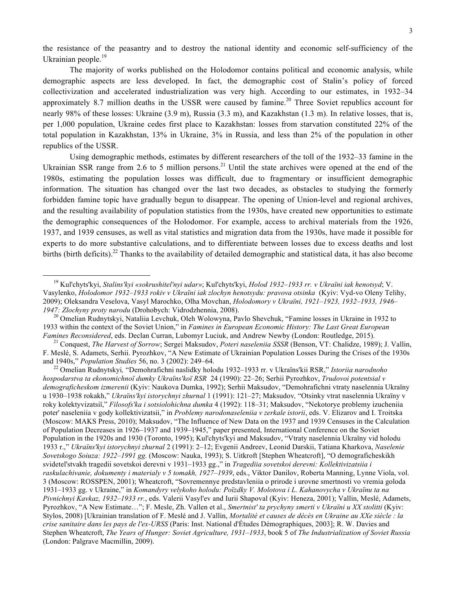the resistance of the peasantry and to destroy the national identity and economic self-sufficiency of the Ukrainian people.<sup>19</sup>

The majority of works published on the Holodomor contains political and economic analysis, while demographic aspects are less developed. In fact, the demographic cost of Stalin's policy of forced collectivization and accelerated industrialization was very high. According to our estimates, in 1932–34 approximately 8.7 million deaths in the USSR were caused by famine.<sup>20</sup> Three Soviet republics account for nearly 98% of these losses: Ukraine (3.9 m), Russia (3.3 m), and Kazakhstan (1.3 m). In relative losses, that is, per 1,000 population, Ukraine cedes first place to Kazakhstan: losses from starvation constituted 22% of the total population in Kazakhstan, 13% in Ukraine, 3% in Russia, and less than 2% of the population in other republics of the USSR.

Using demographic methods, estimates by different researchers of the toll of the 1932–33 famine in the Ukrainian SSR range from 2.6 to 5 million persons.<sup>21</sup> Until the state archives were opened at the end of the 1980s, estimating the population losses was difficult, due to fragmentary or insufficient demographic information. The situation has changed over the last two decades, as obstacles to studying the formerly forbidden famine topic have gradually begun to disappear. The opening of Union-level and regional archives, and the resulting availability of population statistics from the 1930s, have created new opportunities to estimate the demographic consequences of the Holodomor. For example, access to archival materials from the 1926, 1937, and 1939 censuses, as well as vital statistics and migration data from the 1930s, have made it possible for experts to do more substantive calculations, and to differentiate between losses due to excess deaths and lost births (birth deficits).<sup>22</sup> Thanks to the availability of detailed demographic and statistical data, it has also become

<sup>19</sup> Kul'chyts'kyi, *Stalins'kyi «sokrushitel'nyi udar»*; Kul'chyts'kyi, *Holod 1932–1933 rr. v Ukraïni iak henotsyd*; V. Vasylenko, *Holodomor 1932–1933 rokiv v Ukraïni iak zlochyn henotsydu: pravova otsinka* (Kyiv: Vyd-vo Oleny Telihy, 2009); Oleksandra Veselova, Vasyl Marochko, Olha Movchan, *Holodomory v Ukraïni, 1921–1923, 1932–1933, 1946– 1947: Zlochyny proty narodu* (Drohobych: Vidrodzhennia, 2008). <sup>20</sup> Omelian Rudnytskyi, Nataliia Levchuk, Oleh Wolowyna, Pavlo Shevchuk, "Famine losses in Ukraine in 1932 to

<sup>1933</sup> within the context of the Soviet Union," in *Famines in European Economic History: The Last Great European*  Famines Reconsidered, eds. Declan Curran, Lubomyr Luciuk, and Andrew Newby (London: Routledge, 2015).<br><sup>21</sup> Conquest, *The Harvest of Sorrow*; Sergei Maksudov, *Poteri naseleniia SSSR* (Benson, VT: Chalidze, 1989); J. Valli

F. Meslé, S. Adamets, Serhii. Pyrozhkov, "A New Estimate of Ukrainian Population Losses During the Crises of the 1930s and 1940s," *Population Studies* 56, no. 3 (2002): 249–64.

<sup>&</sup>lt;sup>22</sup> Omelian Rudnytskyi, "Demohrafichni naslidky holodu 1932–1933 rr. v Ukraïns'kii RSR," *Istoriia narodnoho hospodarstva ta ekonomichnoï dumky Ukraïns'koï RSR* 24 (1990): 22–26; Serhii Pyrozhkov, *Trudovoi potentsial v demograficheskom izmerenii* (Kyiv: Naukova Dumka, 1992); Serhii Maksudov, "Demohrafichni vtraty naselennia Ukraïny u 1930–1938 rokakh," *Ukraïns'kyi istorychnyi zhurnal* 1 (1991): 121–27; Maksudov*,* "Otsinky vtrat naselennia Ukraïny v roky kolektyvizatsiï," *Filosofs'ka i sotsiolohichna dumka* 4 (1992): 118–31; Maksudov, "Nekotorye problemy izucheniia poter' naseleniia v gody kollektivizatsii," in *Problemy narodonaseleniia v zerkale istorii*, eds. V. Elizarov and I. Troitska (Moscow: MAKS Press, 2010); Maksudov, "The Influence of New Data on the 1937 and 1939 Censuses in the Calculation of Population Decreases in 1926–1937 and 1939–1945," paper presented, International Conference on the Soviet Population in the 1920s and 1930 (Toronto, 1995); Kul'chyts'kyi and Maksudov, "Vtraty naselennia Ukraïny vid holodu 1933 r.," *Ukraïns'kyi istorychnyi zhurnal* 2 (1991): 2–12; Evgenii Andreev, Leonid Darskii, Tatiana Kharkova, *Naselenie Sovetskogo Soiuza: 1922–1991 gg.* (Moscow: Nauka, 1993); S. Uitkroft [Stephen Wheatcroft], "O demograficheskikh svidetel'stvakh tragedii sovetskoi derevni v 1931–1933 gg.," in *Tragediia sovetskoi derevni: Kollektivizatsiia i raskulachivanie, dokumenty i materialy v 5 tomakh, 1927–1939*, eds., Viktor Danilov, Roberta Manning, Lynne Viola, vol. 3 (Moscow: ROSSPEN, 2001); Wheatcroft, "Sovremennye predstavleniia o prirode i urovne smertnosti vo vremia goloda 1931–1933 gg. v Ukraine," in *Komandyry velykoho holodu: Poïzdky V. Molotova i L. Kahanovycha v Ukraïnu ta na Pivnichnyi Kavkaz, 1932–1933 rr.*, eds. Valerii Vasyl'ev and Iurii Shapoval (Kyiv: Heneza, 2001); Vallin, Meslé, Adamets, Pyrozhkov, "A New Estimate…"; F. Mesle, Zh. Vallen et al., *Smertnist' ta prychyny smerti v Ukraïni u XX stolitti* (Kyiv: Stylos, 2008) [Ukrainian translation of F. Meslé and J. Vallin, *Mortalité et causes de décès en Ukraine au XXe siècle : la crise sanitaire dans les pays de l'ex-URSS* (Paris: Inst. National d'Études Démographiques, 2003]; R. W. Davies and Stephen Wheatcroft, *The Years of Hunger: Soviet Agriculture, 1931–1933*, book 5 of *The Industrialization of Soviet Russia*  (London: Palgrave Macmillin, 2009).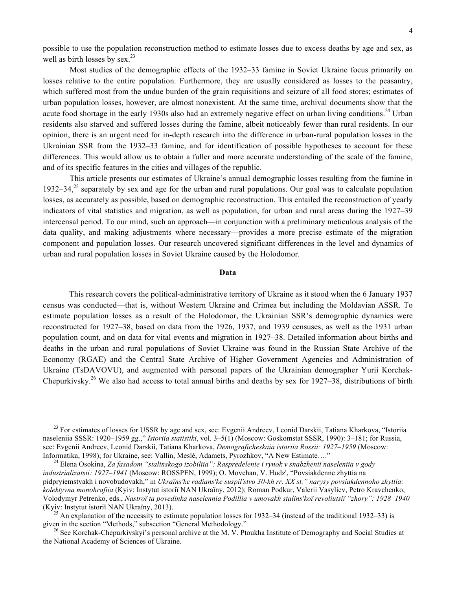possible to use the population reconstruction method to estimate losses due to excess deaths by age and sex, as well as birth losses by sex. $^{23}$ 

Most studies of the demographic effects of the 1932–33 famine in Soviet Ukraine focus primarily on losses relative to the entire population. Furthermore, they are usually considered as losses to the peasantry, which suffered most from the undue burden of the grain requisitions and seizure of all food stores; estimates of urban population losses, however, are almost nonexistent. At the same time, archival documents show that the acute food shortage in the early 1930s also had an extremely negative effect on urban living conditions.<sup>24</sup> Urban residents also starved and suffered losses during the famine, albeit noticeably fewer than rural residents. In our opinion, there is an urgent need for in-depth research into the difference in urban-rural population losses in the Ukrainian SSR from the 1932–33 famine, and for identification of possible hypotheses to account for these differences. This would allow us to obtain a fuller and more accurate understanding of the scale of the famine, and of its specific features in the cities and villages of the republic.

This article presents our estimates of Ukraine's annual demographic losses resulting from the famine in 1932–34,<sup>25</sup> separately by sex and age for the urban and rural populations. Our goal was to calculate population losses, as accurately as possible, based on demographic reconstruction. This entailed the reconstruction of yearly indicators of vital statistics and migration, as well as population, for urban and rural areas during the 1927–39 intercensal period. To our mind, such an approach—in conjunction with a preliminary meticulous analysis of the data quality, and making adjustments where necessary—provides a more precise estimate of the migration component and population losses. Our research uncovered significant differences in the level and dynamics of urban and rural population losses in Soviet Ukraine caused by the Holodomor.

## **Data**

This research covers the political-administrative territory of Ukraine as it stood when the 6 January 1937 census was conducted—that is, without Western Ukraine and Crimea but including the Moldavian ASSR. To estimate population losses as a result of the Holodomor, the Ukrainian SSR's demographic dynamics were reconstructed for 1927–38, based on data from the 1926, 1937, and 1939 censuses, as well as the 1931 urban population count, and on data for vital events and migration in 1927–38. Detailed information about births and deaths in the urban and rural populations of Soviet Ukraine was found in the Russian State Archive of the Economy (RGAE) and the Central State Archive of Higher Government Agencies and Administration of Ukraine (TsDAVOVU), and augmented with personal papers of the Ukrainian demographer Yurii Korchak-Chepurkivsky.<sup>26</sup> We also had access to total annual births and deaths by sex for 1927–38, distributions of birth

 $^{23}$  For estimates of losses for USSR by age and sex, see: Evgenii Andreev, Leonid Darskii, Tatiana Kharkova, "Istoriia naseleniia SSSR: 1920–1959 gg.," *Istoriia statistiki*, vol. 3–5(1) (Moscow: Goskomstat SSSR, 1990): 3–181; for Russia, see: Evgenii Andreev, Leonid Darskii, Tatiana Kharkova, *Demograficheskaia istoriia Rossii: 1927–1959* (Moscow: Informatika, 1998); for Ukraine, see: Vallin, Meslé, Adamets, Pyrozhkov, "A New Estimate...."

<sup>&</sup>lt;sup>24</sup> Elena Osokina, *Za fasadom "stalinskogo izobiliia": Raspredelenie i rynok v snabzhenii naseleniia v gody industrializatsii: 1927–1941* (Moscow: ROSSPEN, 1999); O. Movchan, V. Hudz', "Povsiakdenne zhyttia na pidpryiemstvakh i novobudovakh," in *Ukraïns'ke radians'ke suspil'stvo 30-kh rr. XX st." narysy povsiakdennoho zhyttia: kolektyvna monohrafiia* (Kyiv: Instytut istoriï NAN Ukraïny, 2012); Roman Podkur, Valerii Vasyliev, Petro Kravchenko, Volodymyr Petrenko, eds., *Nastroï ta povedinka naselennia Podillia v umovakh stalins'koï revoliutsiï "zhory": 1928–1940*

<sup>&</sup>lt;sup>25</sup> An explanation of the necessity to estimate population losses for 1932–34 (instead of the traditional 1932–33) is given in the section "Methods," subsection "General Methodology."

<sup>&</sup>lt;sup>26</sup> See Korchak-Chepurkivskyi's personal archive at the M. V. Ptoukha Institute of Demography and Social Studies at the National Academy of Sciences of Ukraine.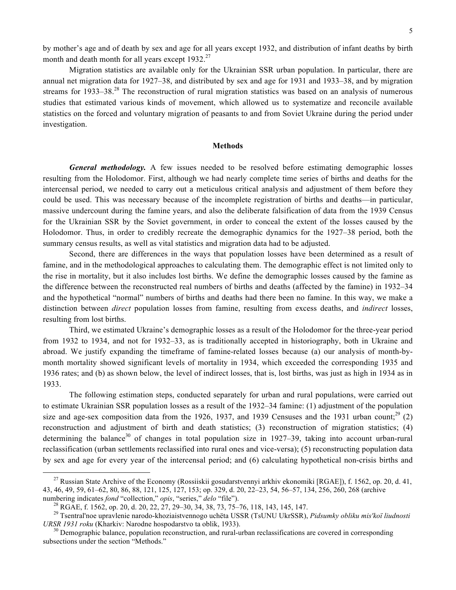by mother's age and of death by sex and age for all years except 1932, and distribution of infant deaths by birth month and death month for all years except 1932.<sup>27</sup>

Migration statistics are available only for the Ukrainian SSR urban population. In particular, there are annual net migration data for 1927–38, and distributed by sex and age for 1931 and 1933–38, and by migration streams for 1933–38.<sup>28</sup> The reconstruction of rural migration statistics was based on an analysis of numerous studies that estimated various kinds of movement, which allowed us to systematize and reconcile available statistics on the forced and voluntary migration of peasants to and from Soviet Ukraine during the period under investigation.

## **Methods**

*General methodology.* A few issues needed to be resolved before estimating demographic losses resulting from the Holodomor. First, although we had nearly complete time series of births and deaths for the intercensal period, we needed to carry out a meticulous critical analysis and adjustment of them before they could be used. This was necessary because of the incomplete registration of births and deaths—in particular, massive undercount during the famine years, and also the deliberate falsification of data from the 1939 Census for the Ukrainian SSR by the Soviet government, in order to conceal the extent of the losses caused by the Holodomor. Thus, in order to credibly recreate the demographic dynamics for the 1927–38 period, both the summary census results, as well as vital statistics and migration data had to be adjusted.

Second, there are differences in the ways that population losses have been determined as a result of famine, and in the methodological approaches to calculating them. The demographic effect is not limited only to the rise in mortality, but it also includes lost births. We define the demographic losses caused by the famine as the difference between the reconstructed real numbers of births and deaths (affected by the famine) in 1932–34 and the hypothetical "normal" numbers of births and deaths had there been no famine. In this way, we make a distinction between *direct* population losses from famine, resulting from excess deaths, and *indirect* losses, resulting from lost births.

Third, we estimated Ukraine's demographic losses as a result of the Holodomor for the three-year period from 1932 to 1934, and not for 1932–33, as is traditionally accepted in historiography, both in Ukraine and abroad. We justify expanding the timeframe of famine-related losses because (a) our analysis of month-bymonth mortality showed significant levels of mortality in 1934, which exceeded the corresponding 1935 and 1936 rates; and (b) as shown below, the level of indirect losses, that is, lost births, was just as high in 1934 as in 1933.

The following estimation steps, conducted separately for urban and rural populations, were carried out to estimate Ukrainian SSR population losses as a result of the 1932–34 famine: (1) adjustment of the population size and age-sex composition data from the 1926, 1937, and 1939 Censuses and the 1931 urban count;<sup>29</sup> (2) reconstruction and adjustment of birth and death statistics; (3) reconstruction of migration statistics; (4) determining the balance<sup>30</sup> of changes in total population size in 1927–39, taking into account urban-rural reclassification (urban settlements reclassified into rural ones and vice-versa); (5) reconstructing population data by sex and age for every year of the intercensal period; and (6) calculating hypothetical non-crisis births and

<sup>&</sup>lt;sup>27</sup> Russian State Archive of the Economy (Rossiiskii gosudarstvennyi arkhiv ekonomiki [RGAE]), f. 1562, op. 20, d. 41, 43, 46, 49, 59, 61–62, 80, 86, 88, 121, 125, 127, 153; op. 329, d. 20, 22–23, 54, 56–57, 134, 256, 260, 268 (archive

numbering indicates *fond* "collection," *opis*, "series," *delo* "file").<br><sup>28</sup> RGAE, f. 1562, op. 20, d. 20, 22, 27, 29–30, 34, 38, 73, 75–76, 118, 143, 145, 147.<br><sup>29</sup> Tsentral'noe upravlenie narodo-khoziaistvennogo uchët *URSR 1931 roku* (Kharkiv: Narodne hospodarstvo ta oblik, 1933).<br><sup>30</sup> Demographic balance, population reconstruction, and rural-urban reclassifications are covered in corresponding

subsections under the section "Methods."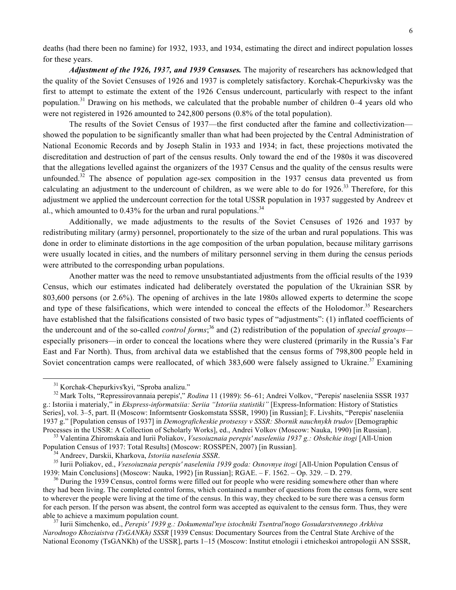deaths (had there been no famine) for 1932, 1933, and 1934, estimating the direct and indirect population losses for these years.

*Adjustment of the 1926, 1937, and 1939 Censuses.* The majority of researchers has acknowledged that the quality of the Soviet Censuses of 1926 and 1937 is completely satisfactory. Korchak-Chepurkivsky was the first to attempt to estimate the extent of the 1926 Census undercount, particularly with respect to the infant population.<sup>31</sup> Drawing on his methods, we calculated that the probable number of children 0–4 years old who were not registered in 1926 amounted to 242,800 persons (0.8% of the total population).

The results of the Soviet Census of 1937—the first conducted after the famine and collectivization showed the population to be significantly smaller than what had been projected by the Central Administration of National Economic Records and by Joseph Stalin in 1933 and 1934; in fact, these projections motivated the discreditation and destruction of part of the census results. Only toward the end of the 1980s it was discovered that the allegations levelled against the organizers of the 1937 Census and the quality of the census results were unfounded.<sup>32</sup> The absence of population age-sex composition in the 1937 census data prevented us from calculating an adjustment to the undercount of children, as we were able to do for  $1926$ .<sup>33</sup> Therefore, for this adjustment we applied the undercount correction for the total USSR population in 1937 suggested by Andreev et al., which amounted to 0.43% for the urban and rural populations.<sup>34</sup>

Additionally, we made adjustments to the results of the Soviet Censuses of 1926 and 1937 by redistributing military (army) personnel, proportionately to the size of the urban and rural populations. This was done in order to eliminate distortions in the age composition of the urban population, because military garrisons were usually located in cities, and the numbers of military personnel serving in them during the census periods were attributed to the corresponding urban populations.

Another matter was the need to remove unsubstantiated adjustments from the official results of the 1939 Census, which our estimates indicated had deliberately overstated the population of the Ukrainian SSR by 803,600 persons (or 2.6%). The opening of archives in the late 1980s allowed experts to determine the scope and type of these falsifications, which were intended to conceal the effects of the Holodomor.<sup>35</sup> Researchers have established that the falsifications consisted of two basic types of "adjustments": (1) inflated coefficients of the undercount and of the so-called *control forms*; <sup>36</sup> and (2) redistribution of the population of *special groups* especially prisoners—in order to conceal the locations where they were clustered (primarily in the Russia's Far East and Far North). Thus, from archival data we established that the census forms of 798,800 people held in Soviet concentration camps were reallocated, of which  $383,600$  were falsely assigned to Ukraine.<sup>37</sup> Examining

<sup>&</sup>lt;sup>31</sup> Korchak-Chepurkivs'kyi, "Sproba analizu."

<sup>&</sup>lt;sup>32</sup> Mark Tolts, "Repressirovannaia perepis'," *Rodina* 11 (1989): 56–61; Andrei Volkov, "Perepis' naseleniia SSSR 1937 g.: Istoriia i materialy," in *Ekspress-informatsiia: Seriia "Istoriia statistiki"* [Express-Information: History of Statistics Series], vol. 3–5, part. II (Moscow: Informtsentr Goskomstata SSSR, 1990) [in Russian]; F. Livshits, "Perepis' naseleniia 1937 g." [Population census of 1937] in *Demograficheskie protsessy v SSSR: Sbornik nauchnykh trudov* [Demographic

<sup>&</sup>lt;sup>33</sup> Valentina Zhiromskaia and Iurii Poliakov, *Vsesoiuznaia perepis' naseleniia 1937 g.: Obshchie itogi* [All-Union Population Census of 1937: Total Results] (Moscow: ROSSPEN, 2007) [in Russian].

<sup>&</sup>lt;sup>34</sup> Andreev, Darskii, Kharkova, *Istoriia naselenia SSSR*.<br><sup>35</sup> Iurii Poliakov, ed., *Vsesoiuznaia perepis' naseleniia 1939 goda: Osnovnye itogi* [All-Union Population Census of 1939: Main Conclusions] (Moscow: Nauka, 1992) [in Russian]; RGAE. – F. 1562. – Op. 329. – D. 279.<br><sup>36</sup> During the 1939 Census, control forms were filled out for people who were residing somewhere other than where

they had been living. The completed control forms, which contained a number of questions from the census form, were sent to wherever the people were living at the time of the census. In this way, they checked to be sure there was a census form for each person. If the person was absent, the control form was accepted as equivalent to the census form. Thus, they were able to achieve a maximum population count. <sup>37</sup> Iurii Simchenko, ed., *Perepis' 1939 g.: Dokumental'nye istochniki Tsentral'nogo Gosudarstvennego Arkhiva* 

*Narodnogo Khoziaistva (TsGANKh) SSSR* [1939 Census: Documentary Sources from the Central State Archive of the National Economy (TsGANKh) of the USSR], parts 1–15 (Moscow: Institut etnologii i etnicheskoi antropologii AN SSSR,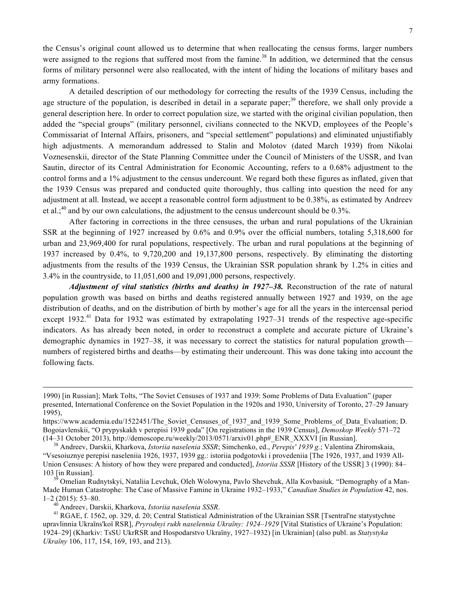the Census's original count allowed us to determine that when reallocating the census forms, larger numbers were assigned to the regions that suffered most from the famine.<sup>38</sup> In addition, we determined that the census forms of military personnel were also reallocated, with the intent of hiding the locations of military bases and army formations.

A detailed description of our methodology for correcting the results of the 1939 Census, including the age structure of the population, is described in detail in a separate paper;<sup>39</sup> therefore, we shall only provide a general description here. In order to correct population size, we started with the original civilian population, then added the "special groups" (military personnel, civilians connected to the NKVD, employees of the People's Commissariat of Internal Affairs, prisoners, and "special settlement" populations) and eliminated unjustifiably high adjustments. A memorandum addressed to Stalin and Molotov (dated March 1939) from Nikolai Voznesenskii, director of the State Planning Committee under the Council of Ministers of the USSR, and Ivan Sautin, director of its Central Administration for Economic Accounting, refers to a 0.68% adjustment to the control forms and a 1% adjustment to the census undercount. We regard both these figures as inflated, given that the 1939 Census was prepared and conducted quite thoroughly, thus calling into question the need for any adjustment at all. Instead, we accept a reasonable control form adjustment to be 0.38%, as estimated by Andreev et al.;<sup>40</sup> and by our own calculations, the adjustment to the census undercount should be 0.3%.

After factoring in corrections in the three censuses, the urban and rural populations of the Ukrainian SSR at the beginning of 1927 increased by 0.6% and 0.9% over the official numbers, totaling 5,318,600 for urban and 23,969,400 for rural populations, respectively. The urban and rural populations at the beginning of 1937 increased by 0.4%, to 9,720,200 and 19,137,800 persons, respectively. By eliminating the distorting adjustments from the results of the 1939 Census, the Ukrainian SSR population shrank by 1.2% in cities and 3.4% in the countryside, to 11,051,600 and 19,091,000 persons, respectively.

*Adjustment of vital statistics (births and deaths) in 1927–38.* Reconstruction of the rate of natural population growth was based on births and deaths registered annually between 1927 and 1939, on the age distribution of deaths, and on the distribution of birth by mother's age for all the years in the intercensal period except 1932.<sup>41</sup> Data for 1932 was estimated by extrapolating 1927–31 trends of the respective age-specific indicators. As has already been noted, in order to reconstruct a complete and accurate picture of Ukraine's demographic dynamics in 1927–38, it was necessary to correct the statistics for natural population growth numbers of registered births and deaths—by estimating their undercount. This was done taking into account the following facts.

 

<sup>1990) [</sup>in Russian]; Mark Tolts, "The Soviet Censuses of 1937 and 1939: Some Problems of Data Evaluation" (paper presented, International Conference on the Soviet Population in the 1920s and 1930, University of Toronto, 27–29 January 1995),

https://www.academia.edu/1522451/The Soviet Censuses of 1937 and 1939 Some Problems of Data Evaluation; D. Bogoiavlenskii, "O prypyskakh v perepisi 1939 goda" [On registrations in the 1939 Census], *Demoskop Weekly* 571–72 (14–31 October 2013), http://demoscope.ru/weekly/2013/0571/arxiv01.php#\_ENR\_XXXVI [in Russian]. <sup>38</sup> Andreev, Darskii, Kharkova, *Istoriia naselenia SSSR*; Simchenko, ed., *Perepis' 1939 g.*; Valentina Zhiromskaia,

<sup>&</sup>quot;Vsesoiuznye perepisi naseleniia 1926, 1937, 1939 gg.: istoriia podgotovki i provedeniia [The 1926, 1937, and 1939 All-Union Censuses: A history of how they were prepared and conducted], *Istoriia SSSR* [History of the USSR] 3 (1990): 84– 103 [in Russian]. <sup>39</sup> Omelian Rudnytskyi, Nataliia Levchuk, Oleh Wolowyna, Pavlo Shevchuk, Alla Kovbasiuk*,* "Demography of a Man-

Made Human Catastrophe: The Case of Massive Famine in Ukraine 1932–1933," *Canadian Studies in Population* 42, nos.

<sup>&</sup>lt;sup>40</sup> Andreev, Darskii, Kharkova, *Istoriia naselenia SSSR*.<br><sup>41</sup> RGAE, f. 1562, op. 329, d. 20; Central Statistical Administration of the Ukrainian SSR [Tsentral'ne statystychne upravlinnia Ukraïns'koï RSR], *Pryrodnyi rukh naselennia Ukraïny: 1924–1929* [Vital Statistics of Ukraine's Population: 1924–29] (Kharkiv: TsSU UkrRSR and Hospodarstvo Ukraïny, 1927–1932) [in Ukrainian] (also publ. as *Statystyka Ukraïny* 106, 117, 154, 169, 193, and 213).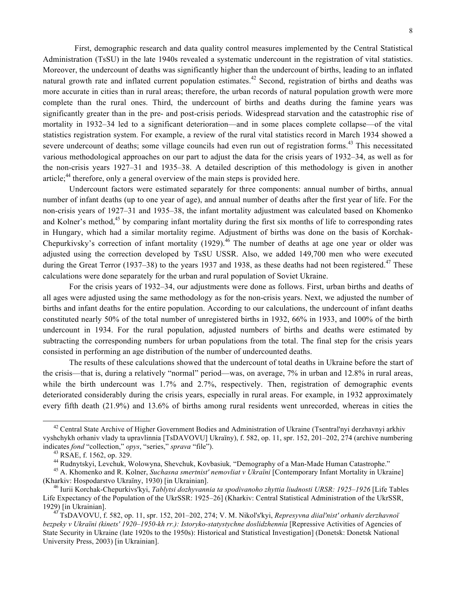First, demographic research and data quality control measures implemented by the Central Statistical Administration (TsSU) in the late 1940s revealed a systematic undercount in the registration of vital statistics. Moreover, the undercount of deaths was significantly higher than the undercount of births, leading to an inflated natural growth rate and inflated current population estimates.<sup>42</sup> Second, registration of births and deaths was more accurate in cities than in rural areas; therefore, the urban records of natural population growth were more complete than the rural ones. Third, the undercount of births and deaths during the famine years was significantly greater than in the pre- and post-crisis periods. Widespread starvation and the catastrophic rise of

mortality in 1932–34 led to a significant deterioration—and in some places complete collapse—of the vital statistics registration system. For example, a review of the rural vital statistics record in March 1934 showed a severe undercount of deaths; some village councils had even run out of registration forms.<sup>43</sup> This necessitated various methodological approaches on our part to adjust the data for the crisis years of 1932–34, as well as for the non-crisis years 1927–31 and 1935–38. A detailed description of this methodology is given in another article;<sup>44</sup> therefore, only a general overview of the main steps is provided here.

Undercount factors were estimated separately for three components: annual number of births, annual number of infant deaths (up to one year of age), and annual number of deaths after the first year of life. For the non-crisis years of 1927–31 and 1935–38, the infant mortality adjustment was calculated based on Khomenko and Kolner's method,<sup>45</sup> by comparing infant mortality during the first six months of life to corresponding rates in Hungary, which had a similar mortality regime. Adjustment of births was done on the basis of Korchak-Chepurkivsky's correction of infant mortality  $(1929)^{46}$  The number of deaths at age one year or older was adjusted using the correction developed by TsSU USSR. Also, we added 149,700 men who were executed during the Great Terror (1937–38) to the years 1937 and 1938, as these deaths had not been registered.<sup>47</sup> These calculations were done separately for the urban and rural population of Soviet Ukraine.

For the crisis years of 1932–34, our adjustments were done as follows. First, urban births and deaths of all ages were adjusted using the same methodology as for the non-crisis years. Next, we adjusted the number of births and infant deaths for the entire population. According to our calculations, the undercount of infant deaths constituted nearly 50% of the total number of unregistered births in 1932, 66% in 1933, and 100% of the birth undercount in 1934. For the rural population, adjusted numbers of births and deaths were estimated by subtracting the corresponding numbers for urban populations from the total. The final step for the crisis years consisted in performing an age distribution of the number of undercounted deaths.

The results of these calculations showed that the undercount of total deaths in Ukraine before the start of the crisis—that is, during a relatively "normal" period—was, on average, 7% in urban and 12.8% in rural areas, while the birth undercount was 1.7% and 2.7%, respectively. Then, registration of demographic events deteriorated considerably during the crisis years, especially in rural areas. For example, in 1932 approximately every fifth death (21.9%) and 13.6% of births among rural residents went unrecorded, whereas in cities the

<sup>&</sup>lt;sup>42</sup> Central State Archive of Higher Government Bodies and Administration of Ukraine (Tsentral'nyi derzhavnyi arkhiv vyshchykh orhaniv vlady ta upravlinnia [TsDAVOVU] Ukraïny), f. 582, op. 11, spr. 152, 201–202, 274 (archive numbering indicates *fond* "collection," *opys*, "series," *sprava* "file").<br><sup>43</sup> RSAE, f. 1562, op. 329.<br><sup>44</sup> Rudnytskyi, Levchuk, Wolowyna, Shevchuk, Kovbasiuk, "Demography of a Man-Made Human Catastrophe."<br><sup>45</sup> A. Khomenko and R.

<sup>(</sup>Kharkiv: Hospodarstvo Ukraïny, 1930) [in Ukrainian].<br><sup>46</sup> Iurii Korchak-Chepurkivs'kyi, *Tablytsi dozhyvannia ta spodivanoho zhyttia liudnosti URSR: 1925–1926* [Life Tables

Life Expectancy of the Population of the UkrSSR: 1925–26] (Kharkiv: Central Statistical Administration of the UkrSSR,

<sup>1929) [</sup>in Ukrainian]. <sup>47</sup> TsDAVOVU, f. 582, op. 11, spr. 152, 201–202, 274; V. M. Nikol's'kyi, *Represyvna diial'nist' orhaniv derzhavnoï bezpeky v Ukraïni (kinets' 1920–1950-kh rr.): Istoryko-statystychne doslidzhennia* [Repressive Activities of Agencies of State Security in Ukraine (late 1920s to the 1950s): Historical and Statistical Investigation] (Donetsk: Donetsk National University Press, 2003) [in Ukrainian].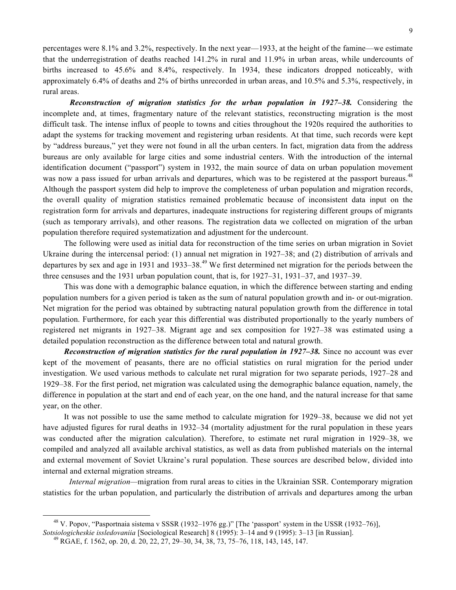percentages were 8.1% and 3.2%, respectively. In the next year—1933, at the height of the famine—we estimate that the underregistration of deaths reached 141.2% in rural and 11.9% in urban areas, while undercounts of births increased to 45.6% and 8.4%, respectively. In 1934, these indicators dropped noticeably, with approximately 6.4% of deaths and 2% of births unrecorded in urban areas, and 10.5% and 5.3%, respectively, in rural areas.

*Reconstruction of migration statistics for the urban population in 1927–38.* Considering the incomplete and, at times, fragmentary nature of the relevant statistics, reconstructing migration is the most difficult task. The intense influx of people to towns and cities throughout the 1920s required the authorities to adapt the systems for tracking movement and registering urban residents. At that time, such records were kept by "address bureaus," yet they were not found in all the urban centers. In fact, migration data from the address bureaus are only available for large cities and some industrial centers. With the introduction of the internal identification document ("passport") system in 1932, the main source of data on urban population movement was now a pass issued for urban arrivals and departures, which was to be registered at the passport bureaus.<sup>48</sup> Although the passport system did help to improve the completeness of urban population and migration records, the overall quality of migration statistics remained problematic because of inconsistent data input on the registration form for arrivals and departures, inadequate instructions for registering different groups of migrants (such as temporary arrivals), and other reasons. The registration data we collected on migration of the urban population therefore required systematization and adjustment for the undercount.

The following were used as initial data for reconstruction of the time series on urban migration in Soviet Ukraine during the intercensal period: (1) annual net migration in 1927–38; and (2) distribution of arrivals and departures by sex and age in 1931 and 1933–38.<sup>49</sup> We first determined net migration for the periods between the three censuses and the 1931 urban population count, that is, for 1927–31, 1931–37, and 1937–39.

This was done with a demographic balance equation, in which the difference between starting and ending population numbers for a given period is taken as the sum of natural population growth and in- or out-migration. Net migration for the period was obtained by subtracting natural population growth from the difference in total population. Furthermore, for each year this differential was distributed proportionally to the yearly numbers of registered net migrants in 1927–38. Migrant age and sex composition for 1927–38 was estimated using a detailed population reconstruction as the difference between total and natural growth.

*Reconstruction of migration statistics for the rural population in 1927–38.* Since no account was ever kept of the movement of peasants, there are no official statistics on rural migration for the period under investigation. We used various methods to calculate net rural migration for two separate periods, 1927–28 and 1929–38. For the first period, net migration was calculated using the demographic balance equation, namely, the difference in population at the start and end of each year, on the one hand, and the natural increase for that same year, on the other.

It was not possible to use the same method to calculate migration for 1929–38, because we did not yet have adjusted figures for rural deaths in 1932–34 (mortality adjustment for the rural population in these years was conducted after the migration calculation). Therefore, to estimate net rural migration in 1929–38, we compiled and analyzed all available archival statistics, as well as data from published materials on the internal and external movement of Soviet Ukraine's rural population. These sources are described below, divided into internal and external migration streams.

*Internal migration—migration* from rural areas to cities in the Ukrainian SSR. Contemporary migration statistics for the urban population, and particularly the distribution of arrivals and departures among the urban

 <sup>48</sup> V. Popov, "Pasportnaia sistema v SSSR (1932–1976 gg.)" [The 'passport' system in the USSR (1932–76)],

*Sotsiologicheskie issledovaniia* [Sociological Research] 8 (1995): 3–14 and 9 (1995): 3–13 [in Russian]. <sup>49</sup> RGAE, f. 1562, op. 20, d. 20, 22, 27, 29–30, 34, 38, 73, 75–76, 118, 143, 145, 147.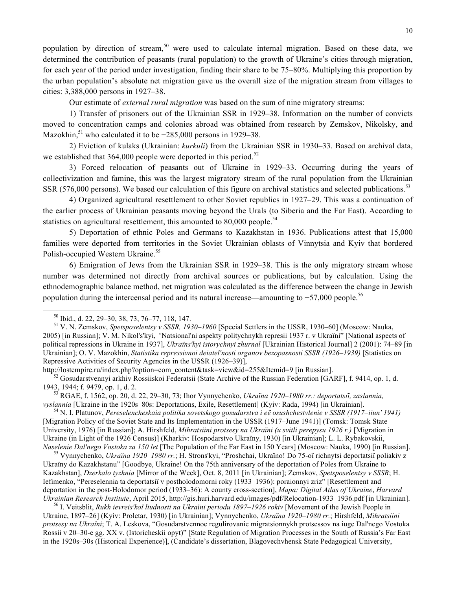population by direction of stream,<sup>50</sup> were used to calculate internal migration. Based on these data, we determined the contribution of peasants (rural population) to the growth of Ukraine's cities through migration, for each year of the period under investigation, finding their share to be 75–80%. Multiplying this proportion by the urban population's absolute net migration gave us the overall size of the migration stream from villages to cities: 3,388,000 persons in 1927–38.

Our estimate of *external rural migration* was based on the sum of nine migratory streams:

1) Transfer of prisoners out of the Ukrainian SSR in 1929–38. Information on the number of convicts moved to concentration camps and colonies abroad was obtained from research by Zemskov, Nikolsky, and Mazokhin,<sup>51</sup> who calculated it to be  $-285,000$  persons in 1929–38.

2) Eviction of kulaks (Ukrainian: *kurkuli*) from the Ukrainian SSR in 1930–33. Based on archival data, we established that  $364,000$  people were deported in this period.<sup>52</sup>

3) Forced relocation of peasants out of Ukraine in 1929–33. Occurring during the years of collectivization and famine, this was the largest migratory stream of the rural population from the Ukrainian SSR (576,000 persons). We based our calculation of this figure on archival statistics and selected publications.<sup>53</sup>

4) Organized agricultural resettlement to other Soviet republics in 1927–29. This was a continuation of the earlier process of Ukrainian peasants moving beyond the Urals (to Siberia and the Far East). According to statistics on agricultural resettlement, this amounted to 80,000 people.<sup>54</sup>

5) Deportation of ethnic Poles and Germans to Kazakhstan in 1936. Publications attest that 15,000 families were deported from territories in the Soviet Ukrainian oblasts of Vinnytsia and Kyiv that bordered Polish-occupied Western Ukraine. 55

6) Emigration of Jews from the Ukrainian SSR in 1929–38. This is the only migratory stream whose number was determined not directly from archival sources or publications, but by calculation. Using the ethnodemographic balance method, net migration was calculated as the difference between the change in Jewish population during the intercensal period and its natural increase—amounting to  $-57,000$  people.<sup>56</sup>

<u> 1989 - Johann Barn, mars ann an t-Amhain an t-Amhain an t-Amhain an t-Amhain an t-Amhain an t-Amhain an t-Amh</u>

http://lostempire.ru/index.php?option=com\_content&task=view&id=255&Itemid=9 [in Russian].<br><sup>52</sup> Gosudarstvennyi arkhiv Rossiiskoi Federatsii (State Archive of the Russian Federation [GARF], f. 9414, op. 1, d.

1943, 1944; f. 9479, op. 1, d. 2.<br><sup>53</sup> RGAE, f. 1562, op. 20, d. 22, 29–30, 73; Ihor Vynnychenko, *Ukraïna 1920–1980 rr.: deportatsiï, zaslannia*, *vyslannia* [Ukraïne in the 1920s–80s: Deportations, Exile, Resettlement] (

<sup>54</sup> N. I. Platunov, Pereselencheskaia politika sovetskogo gosudarstva i eë osushchestvlenie v SSSR (1917–iiun' 1941) [Migration Policy of the Soviet State and Its Implementation in the USSR (1917–June 1941)] (Tomsk: Tomsk State University, 1976) [in Russian]; A. Hirshfeld, *Mihratsiini protsesy na Ukraïni (u svitli perepysu 1926 r.)* [Migration in Ukraine (in Light of the 1926 Census)] (Kharkiv: Hospodarstvo Ukraïny, 1930) [in Ukrainian]; L. L. Rybakovskii,

*Naselenie Dal'nego Vostoka za 150 let* [The Population of the Far East in 150 Years] (Moscow: Nauka, 1990) [in Russian].<br><sup>55</sup> Vynnychenko, *Ukraïna 1920–1980 rr*.; H. Strons'kyi, "Proshchai, Ukraïno! Do 75-oï richnytsi de Ukraïny do Kazakhstanu" [Goodbye, Ukraine! On the 75th anniversary of the deportation of Poles from Ukraine to Kazakhstan], *Dzerkalo tyzhnia* [Mirror of the Week], Oct. 8, 2011 [in Ukrainian]; Zemskov, *Spetsposelentsy v SSSR*; H. Iefimenko, "Pereselennia ta deportatsiï v postholodomorni roky (1933–1936): poraionnyi zriz" [Resettlement and deportation in the post-Holodomor period (1933–36): A county cross-section], *Mapa: Digital Atlas of Ukraine*, *Harvard*  Ukrainian Research Institute, April 2015, http://gis.huri.harvard.edu/images/pdf/Relocation-1933-1936.pdf [in Ukrainian].<br><sup>56</sup> I. Veitsblit, *Rukh ievreis'koï liudnosti na Ukraïni periodu 1897-1926 rokiv* [Movement of the

Ukraine, 1897–26] (Kyiv: Proletar, 1930) [in Ukrainian]; Vynnychenko, *Ukraïna 1920–1980 rr.*; Hirshfeld, *Mihratsiini protsesy na Ukraïni*; T. A. Leskova, "Gosudarstvennoe regulirovanie migratsionnykh protsessov na iuge Dal'nego Vostoka Rossii v 20–30-e gg. XX v. (Istoricheskii opyt)" [State Regulation of Migration Processes in the South of Russia's Far East in the 1920s–30s (Historical Experience)], (Candidate's dissertation, Blagovechvhensk State Pedagogical University,

<sup>50</sup> Ibid., d. 22, 29–30, 38, 73, 76–77, 118, 147. <sup>51</sup> V. N. Zemskov, *Spetsposelentsy v SSSR, 1930–1960* [Special Settlers in the USSR, 1930–60] (Moscow: Nauka, 2005) [in Russian]; V. M. Nikol's'kyi, *"*Natsional'ni aspekty politychnykh represii 1937 r. v Ukraïni" [National aspects of political repressions in Ukraine in 1937], *Ukraïns'kyi istorychnyi zhurnal* [Ukrainian Historical Journal] 2 (2001): 74–89 [in Ukrainian]; O. V. Mazokhin, *Statistika repressivnoi deiatel'nosti organov bezopasnosti SSSR (1926–1939)* [Statistics on Repressive Activities of Security Agencies in the USSR (1926–39)],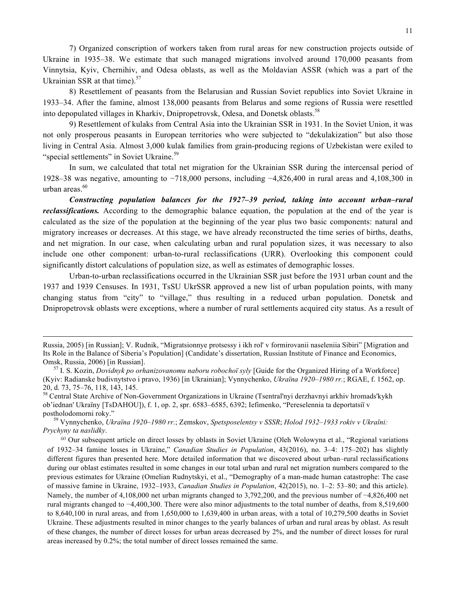7) Organized conscription of workers taken from rural areas for new construction projects outside of Ukraine in 1935–38. We estimate that such managed migrations involved around 170,000 peasants from Vinnytsia, Kyiv, Chernihiv, and Odesa oblasts, as well as the Moldavian ASSR (which was a part of the Ukrainian SSR at that time).<sup>57</sup>

8) Resettlement of peasants from the Belarusian and Russian Soviet republics into Soviet Ukraine in 1933–34. After the famine, almost 138,000 peasants from Belarus and some regions of Russia were resettled into depopulated villages in Kharkiv, Dnipropetrovsk, Odesa, and Donetsk oblasts.<sup>58</sup>

9) Resettlement of kulaks from Central Asia into the Ukrainian SSR in 1931. In the Soviet Union, it was not only prosperous peasants in European territories who were subjected to "dekulakization" but also those living in Central Asia. Almost 3,000 kulak families from grain-producing regions of Uzbekistan were exiled to "special settlements" in Soviet Ukraine.<sup>59</sup>

In sum, we calculated that total net migration for the Ukrainian SSR during the intercensal period of 1928–38 was negative, amounting to −718,000 persons, including −4,826,400 in rural areas and 4,108,300 in urban areas.<sup>60</sup>

*Constructing population balances for the 1927–39 period, taking into account urban–rural reclassifications.* According to the demographic balance equation, the population at the end of the year is calculated as the size of the population at the beginning of the year plus two basic components: natural and migratory increases or decreases. At this stage, we have already reconstructed the time series of births, deaths, and net migration. In our case, when calculating urban and rural population sizes, it was necessary to also include one other component: urban-to-rural reclassifications (URR). Overlooking this component could significantly distort calculations of population size, as well as estimates of demographic losses.

Urban-to-urban reclassifications occurred in the Ukrainian SSR just before the 1931 urban count and the 1937 and 1939 Censuses. In 1931, TsSU UkrSSR approved a new list of urban population points, with many changing status from "city" to "village," thus resulting in a reduced urban population. Donetsk and Dnipropetrovsk oblasts were exceptions, where a number of rural settlements acquired city status. As a result of

<u> 1989 - Johann Barbert Barbert Barbert Barbert Barbert Barbert Barbert Barbert Barbert Barbert Barbert Barbert</u>

Russia, 2005) [in Russian]; V. Rudnik, "Migratsionnye protsessy i ikh rol' v formirovanii naseleniia Sibiri" [Migration and Its Role in the Balance of Siberia's Population] (Candidate's dissertation, Russian Institute of Finance and Economics, Omsk, Russia, 2006) [in Russian]. <sup>57</sup> I. S. Kozin, *Dovidnyk po orhanizovanomu naboru robochoï syly* [Guide for the Organized Hiring of a Workforce]

<sup>(</sup>Kyiv: Radianske budivnytstvo i pravo, 1936) [in Ukrainian]; Vynnychenko, *Ukraïna 1920–1980 rr.*; RGAE, f. 1562, op.

<sup>20,</sup> d. 73, 75–76, 118, 143, 145.<br><sup>58</sup> Central State Archive of Non-Government Organizations in Ukraine (Tsentral'nyi derzhavnyi arkhiv hromads'kykh ob'iednan' Ukraïny [TsDAHOU]), f. 1, op. 2, spr. 6583–6585, 6392; Iefimenko, "Pereselennia ta deportatsiï v postholodomorni roky." <sup>59</sup> Vynnychenko, *Ukraïna 1920–1980 rr.*; Zemskov, *Spetsposelentsy v SSSR*; *Holod 1932–1933 rokiv v Ukraïni:* 

*Prychyny ta naslidky*.

<sup>60</sup> Our subsequent article on direct losses by oblasts in Soviet Ukraine (Oleh Wolowyna et al., "Regional variations of 1932–34 famine losses in Ukraine," *Canadian Studies in Population*, 43(2016), no. 3–4: 175–202) has slightly different figures than presented here. More detailed information that we discovered about urban–rural reclassifications during our oblast estimates resulted in some changes in our total urban and rural net migration numbers compared to the previous estimates for Ukraine (Omelian Rudnytskyi, et al., "Demography of a man-made human catastrophe: The case of massive famine in Ukraine, 1932–1933, *Canadian Studies in Population*, 42(2015), no. 1–2: 53–80; and this article). Namely, the number of 4,108,000 net urban migrants changed to 3,792,200, and the previous number of −4,826,400 net rural migrants changed to −4,400,300. There were also minor adjustments to the total number of deaths, from 8,519,600 to 8,640,100 in rural areas, and from 1,650,000 to 1,639,400 in urban areas, with a total of 10,279,500 deaths in Soviet Ukraine. These adjustments resulted in minor changes to the yearly balances of urban and rural areas by oblast. As result of these changes, the number of direct losses for urban areas decreased by 2%, and the number of direct losses for rural areas increased by 0.2%; the total number of direct losses remained the same.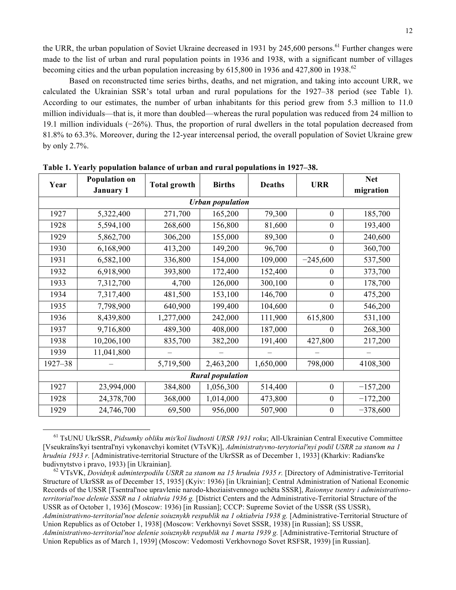the URR, the urban population of Soviet Ukraine decreased in 1931 by 245,600 persons.<sup>61</sup> Further changes were made to the list of urban and rural population points in 1936 and 1938, with a significant number of villages becoming cities and the urban population increasing by  $615,800$  in 1936 and  $427,800$  in 1938.<sup>62</sup>

Based on reconstructed time series births, deaths, and net migration, and taking into account URR, we calculated the Ukrainian SSR's total urban and rural populations for the 1927–38 period (see Table 1). According to our estimates, the number of urban inhabitants for this period grew from 5.3 million to 11.0 million individuals—that is, it more than doubled—whereas the rural population was reduced from 24 million to 19.1 million individuals (−26%). Thus, the proportion of rural dwellers in the total population decreased from 81.8% to 63.3%. Moreover, during the 12-year intercensal period, the overall population of Soviet Ukraine grew by only 2.7%.

| Year                    | <b>Population on</b><br><b>January 1</b> | <b>Total growth</b> | <b>Births</b> | <b>Deaths</b> | <b>URR</b>       | <b>Net</b><br>migration |  |
|-------------------------|------------------------------------------|---------------------|---------------|---------------|------------------|-------------------------|--|
| <b>Urban population</b> |                                          |                     |               |               |                  |                         |  |
| 1927                    | 5,322,400                                | 271,700             | 165,200       | 79,300        | $\theta$         | 185,700                 |  |
| 1928                    | 5,594,100                                | 268,600             | 156,800       | 81,600        | $\theta$         | 193,400                 |  |
| 1929                    | 5,862,700                                | 306,200             | 155,000       | 89,300        | $\boldsymbol{0}$ | 240,600                 |  |
| 1930                    | 6,168,900                                | 413,200             | 149,200       | 96,700        | $\theta$         | 360,700                 |  |
| 1931                    | 6,582,100                                | 336,800             | 154,000       | 109,000       | $-245,600$       | 537,500                 |  |
| 1932                    | 6,918,900                                | 393,800             | 172,400       | 152,400       | $\theta$         | 373,700                 |  |
| 1933                    | 7,312,700                                | 4,700               | 126,000       | 300,100       | $\overline{0}$   | 178,700                 |  |
| 1934                    | 7,317,400                                | 481,500             | 153,100       | 146,700       | $\theta$         | 475,200                 |  |
| 1935                    | 7,798,900                                | 640,900             | 199,400       | 104,600       | $\theta$         | 546,200                 |  |
| 1936                    | 8,439,800                                | 1,277,000           | 242,000       | 111,900       | 615,800          | 531,100                 |  |
| 1937                    | 9,716,800                                | 489,300             | 408,000       | 187,000       | $\theta$         | 268,300                 |  |
| 1938                    | 10,206,100                               | 835,700             | 382,200       | 191,400       | 427,800          | 217,200                 |  |
| 1939                    | 11,041,800                               |                     |               |               |                  |                         |  |
| 1927-38                 |                                          | 5,719,500           | 2,463,200     | 1,650,000     | 798,000          | 4108,300                |  |
| <b>Rural population</b> |                                          |                     |               |               |                  |                         |  |
| 1927                    | 23,994,000                               | 384,800             | 1,056,300     | 514,400       | $\boldsymbol{0}$ | $-157,200$              |  |
| 1928                    | 24,378,700                               | 368,000             | 1,014,000     | 473,800       | $\theta$         | $-172,200$              |  |
| 1929                    | 24,746,700                               | 69,500              | 956,000       | 507,900       | $\boldsymbol{0}$ | $-378,600$              |  |

**Table 1. Yearly population balance of urban and rural populations in 1927–38.**

<sup>61</sup> TsUNU UkrSSR, *Pidsumky obliku mis'koï liudnosti URSR 1931 roku*; All-Ukrainian Central Executive Committee [Vseukraïns'kyi tsentral'nyi vykonavchyi komitet (VTsVK)], *Administratyvno-terytorial'nyi podil USRR za stanom na 1 hrudnia 1933 r.* [Administrative-territorial Structure of the UkrSSR as of December 1, 1933] (Kharkiv: Radians'ke budivnytstvo i pravo, 1933) [in Ukrainian]. <sup>62</sup> VTsVK, *Dovidnyk adminterpodilu USRR za stanom na 15 hrudnia 1935 r.* [Directory of Administrative-Territorial

 

Structure of UkrSSR as of December 15, 1935] (Kyiv: 1936) [in Ukrainian]; Central Administration of National Economic Records of the USSR [Tsentral'noe upravlenie narodo-khoziaistvennogo uchëta SSSR], *Raionnye tsentry i administrativnoterritorial'noe delenie SSSR na 1 oktiabria 1936 g.* [District Centers and the Administrative-Territorial Structure of the USSR as of October 1, 1936] (Moscow: 1936) [in Russian]; СССР: Supreme Soviet of the USSR (SS USSR), *Administrativno-territorial'noe delenie soiuznykh respublik na 1 oktiabria 1938 g.* [Administrative-Territorial Structure of Union Republics as of October 1, 1938] (Moscow: Verkhovnyi Sovet SSSR, 1938) [in Russian]; SS USSR, *Administrativno-territorial'noe delenie soiuznykh respublik na 1 marta 1939 g.* [Administrative-Territorial Structure of Union Republics as of March 1, 1939] (Moscow: Vedomosti Verkhovnogo Sovet RSFSR, 1939) [in Russian].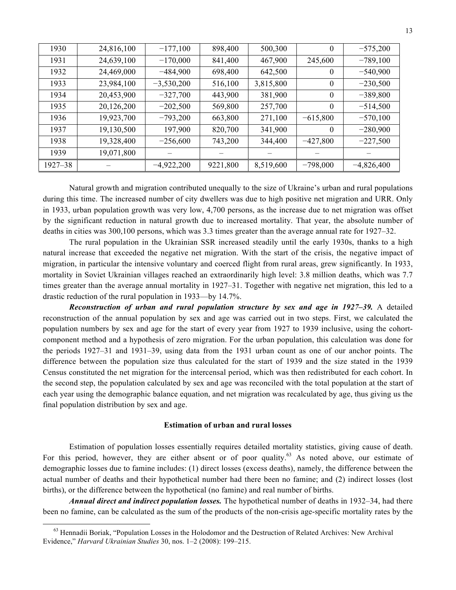| 1930    | 24,816,100 | $-177,100$   | 898,400  | 500,300   | $\theta$         | $-575,200$   |
|---------|------------|--------------|----------|-----------|------------------|--------------|
| 1931    | 24,639,100 | $-170,000$   | 841,400  | 467,900   | 245,600          | $-789,100$   |
| 1932    | 24,469,000 | $-484,900$   | 698,400  | 642,500   | $\theta$         | $-540,900$   |
| 1933    | 23,984,100 | $-3,530,200$ | 516,100  | 3,815,800 | $\boldsymbol{0}$ | $-230,500$   |
| 1934    | 20,453,900 | $-327,700$   | 443,900  | 381,900   | $\overline{0}$   | $-389,800$   |
| 1935    | 20,126,200 | $-202,500$   | 569,800  | 257,700   | $\theta$         | $-514,500$   |
| 1936    | 19,923,700 | $-793,200$   | 663,800  | 271,100   | $-615,800$       | $-570,100$   |
| 1937    | 19,130,500 | 197,900      | 820,700  | 341,900   | $\theta$         | $-280,900$   |
| 1938    | 19,328,400 | $-256,600$   | 743,200  | 344,400   | $-427,800$       | $-227,500$   |
| 1939    | 19,071,800 |              |          |           |                  |              |
| 1927-38 |            | $-4,922,200$ | 9221,800 | 8,519,600 | $-798,000$       | $-4,826,400$ |

Natural growth and migration contributed unequally to the size of Ukraine's urban and rural populations during this time. The increased number of city dwellers was due to high positive net migration and URR. Only in 1933, urban population growth was very low, 4,700 persons, as the increase due to net migration was offset by the significant reduction in natural growth due to increased mortality. That year, the absolute number of deaths in cities was 300,100 persons, which was 3.3 times greater than the average annual rate for 1927–32.

The rural population in the Ukrainian SSR increased steadily until the early 1930s, thanks to a high natural increase that exceeded the negative net migration. With the start of the crisis, the negative impact of migration, in particular the intensive voluntary and coerced flight from rural areas, grew significantly. In 1933, mortality in Soviet Ukrainian villages reached an extraordinarily high level: 3.8 million deaths, which was 7.7 times greater than the average annual mortality in 1927–31. Together with negative net migration, this led to a drastic reduction of the rural population in 1933—by 14.7%.

*Reconstruction of urban and rural population structure by sex and age in 1927–39.* A detailed reconstruction of the annual population by sex and age was carried out in two steps. First, we calculated the population numbers by sex and age for the start of every year from 1927 to 1939 inclusive, using the cohortcomponent method and a hypothesis of zero migration. For the urban population, this calculation was done for the periods 1927–31 and 1931–39, using data from the 1931 urban count as one of our anchor points. The difference between the population size thus calculated for the start of 1939 and the size stated in the 1939 Census constituted the net migration for the intercensal period, which was then redistributed for each cohort. In the second step, the population calculated by sex and age was reconciled with the total population at the start of each year using the demographic balance equation, and net migration was recalculated by age, thus giving us the final population distribution by sex and age.

## **Estimation of urban and rural losses**

Estimation of population losses essentially requires detailed mortality statistics, giving cause of death. For this period, however, they are either absent or of poor quality.<sup>63</sup> As noted above, our estimate of demographic losses due to famine includes: (1) direct losses (excess deaths), namely, the difference between the actual number of deaths and their hypothetical number had there been no famine; and (2) indirect losses (lost births), or the difference between the hypothetical (no famine) and real number of births.

*Annual direct and indirect population losses.* The hypothetical number of deaths in 1932–34, had there been no famine, can be calculated as the sum of the products of the non-crisis age-specific mortality rates by the

 $63$  Hennadii Boriak, "Population Losses in the Holodomor and the Destruction of Related Archives: New Archival Evidence," *Harvard Ukrainian Studies* 30, nos. 1–2 (2008): 199–215.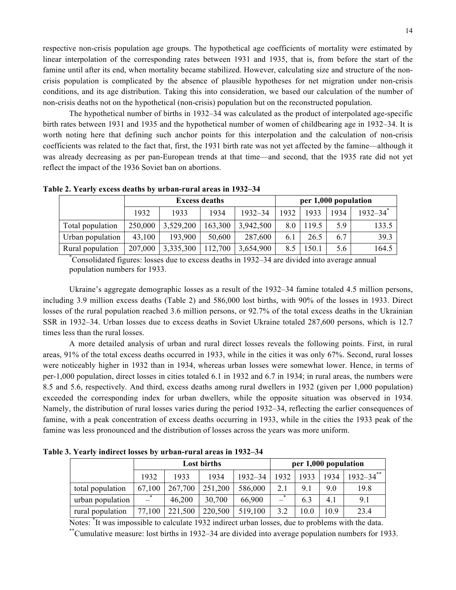respective non-crisis population age groups. The hypothetical age coefficients of mortality were estimated by linear interpolation of the corresponding rates between 1931 and 1935, that is, from before the start of the famine until after its end, when mortality became stabilized. However, calculating size and structure of the noncrisis population is complicated by the absence of plausible hypotheses for net migration under non-crisis conditions, and its age distribution. Taking this into consideration, we based our calculation of the number of non-crisis deaths not on the hypothetical (non-crisis) population but on the reconstructed population.

The hypothetical number of births in 1932–34 was calculated as the product of interpolated age-specific birth rates between 1931 and 1935 and the hypothetical number of women of childbearing age in 1932–34. It is worth noting here that defining such anchor points for this interpolation and the calculation of non-crisis coefficients was related to the fact that, first, the 1931 birth rate was not yet affected by the famine—although it was already decreasing as per pan-European trends at that time—and second, that the 1935 rate did not yet reflect the impact of the 1936 Soviet ban on abortions.

|                                                                                              | <b>Excess deaths</b> |           |         | per 1,000 population |      |       |      |                          |
|----------------------------------------------------------------------------------------------|----------------------|-----------|---------|----------------------|------|-------|------|--------------------------|
|                                                                                              | 1932                 | 1933      | 1934    | $1932 - 34$          | 1932 | 1933  | 1934 | $1932 - 34$ <sup>*</sup> |
| Total population                                                                             | 250,000              | 3,529,200 | 163,300 | 3,942,500            | 8.0  | 119.5 | 59   | 133.5                    |
| Urban population                                                                             | 43,100               | 193,900   | 50,600  | 287,600              | 6.1  | 26.5  | 6.7  | 39.3                     |
| Rural population                                                                             | 207,000              | 3,335,300 | 112,700 | 3,654,900            | 8.5  | 150.1 | 5.6  | 164.5                    |
| Consolidated figures: losses due to excess deaths in 1932–34 are divided into average annual |                      |           |         |                      |      |       |      |                          |

**Table 2. Yearly excess deaths by urban-rural areas in 1932–34**

population numbers for 1933.

Ukraine's aggregate demographic losses as a result of the 1932–34 famine totaled 4.5 million persons, including 3.9 million excess deaths (Table 2) and 586,000 lost births, with 90% of the losses in 1933. Direct losses of the rural population reached 3.6 million persons, or 92.7% of the total excess deaths in the Ukrainian SSR in 1932–34. Urban losses due to excess deaths in Soviet Ukraine totaled 287,600 persons, which is 12.7 times less than the rural losses.

A more detailed analysis of urban and rural direct losses reveals the following points. First, in rural areas, 91% of the total excess deaths occurred in 1933, while in the cities it was only 67%. Second, rural losses were noticeably higher in 1932 than in 1934, whereas urban losses were somewhat lower. Hence, in terms of per-1,000 population, direct losses in cities totaled 6.1 in 1932 and 6.7 in 1934; in rural areas, the numbers were 8.5 and 5.6, respectively. And third, excess deaths among rural dwellers in 1932 (given per 1,000 population) exceeded the corresponding index for urban dwellers, while the opposite situation was observed in 1934. Namely, the distribution of rural losses varies during the period 1932–34, reflecting the earlier consequences of famine, with a peak concentration of excess deaths occurring in 1933, while in the cities the 1933 peak of the famine was less pronounced and the distribution of losses across the years was more uniform.

**Lost births per 1,000 population** 1932 1933 1934 1932–34 1932 1933 1934 1932–34\*\* total population 67,100 267,700 251,200 586,000 2.1 9.1 9.0 19.8 urban population  $\begin{vmatrix} -1 \\ 46,200 \end{vmatrix}$  30,700  $\begin{vmatrix} 66,900 \\ -1 \end{vmatrix}$  6.3  $\begin{vmatrix} 4.1 \\ 4.1 \end{vmatrix}$  9.1 rural population  $\begin{bmatrix} 77,100 & 221,500 & 220,500 & 519,100 & 3.2 & 10.0 & 10.9 \end{bmatrix}$  23.4

**Table 3. Yearly indirect losses by urban-rural areas in 1932–34**

Notes: \* It was impossible to calculate 1932 indirect urban losses, due to problems with the data.

\*\*Cumulative measure: lost births in 1932–34 are divided into average population numbers for 1933.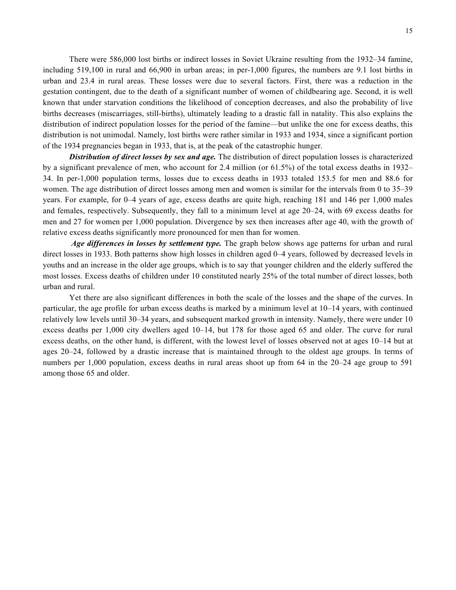There were 586,000 lost births or indirect losses in Soviet Ukraine resulting from the 1932–34 famine, including 519,100 in rural and 66,900 in urban areas; in per-1,000 figures, the numbers are 9.1 lost births in urban and 23.4 in rural areas. These losses were due to several factors. First, there was a reduction in the gestation contingent, due to the death of a significant number of women of childbearing age. Second, it is well known that under starvation conditions the likelihood of conception decreases, and also the probability of live births decreases (miscarriages, still-births), ultimately leading to a drastic fall in natality. This also explains the distribution of indirect population losses for the period of the famine—but unlike the one for excess deaths, this distribution is not unimodal. Namely, lost births were rather similar in 1933 and 1934, since a significant portion of the 1934 pregnancies began in 1933, that is, at the peak of the catastrophic hunger.

*Distribution of direct losses by sex and age.* The distribution of direct population losses is characterized by a significant prevalence of men, who account for 2.4 million (or 61.5%) of the total excess deaths in 1932– 34. In per-1,000 population terms, losses due to excess deaths in 1933 totaled 153.5 for men and 88.6 for women. The age distribution of direct losses among men and women is similar for the intervals from 0 to 35–39 years. For example, for 0–4 years of age, excess deaths are quite high, reaching 181 and 146 per 1,000 males and females, respectively. Subsequently, they fall to a minimum level at age 20–24, with 69 excess deaths for men and 27 for women per 1,000 population. Divergence by sex then increases after age 40, with the growth of relative excess deaths significantly more pronounced for men than for women.

*Age differences in losses by settlement type.* The graph below shows age patterns for urban and rural direct losses in 1933. Both patterns show high losses in children aged 0–4 years, followed by decreased levels in youths and an increase in the older age groups, which is to say that younger children and the elderly suffered the most losses. Excess deaths of children under 10 constituted nearly 25% of the total number of direct losses, both urban and rural.

Yet there are also significant differences in both the scale of the losses and the shape of the curves. In particular, the age profile for urban excess deaths is marked by a minimum level at 10–14 years, with continued relatively low levels until 30–34 years, and subsequent marked growth in intensity. Namely, there were under 10 excess deaths per 1,000 city dwellers aged 10–14, but 178 for those aged 65 and older. The curve for rural excess deaths, on the other hand, is different, with the lowest level of losses observed not at ages 10–14 but at ages 20–24, followed by a drastic increase that is maintained through to the oldest age groups. In terms of numbers per 1,000 population, excess deaths in rural areas shoot up from 64 in the 20–24 age group to 591 among those 65 and older.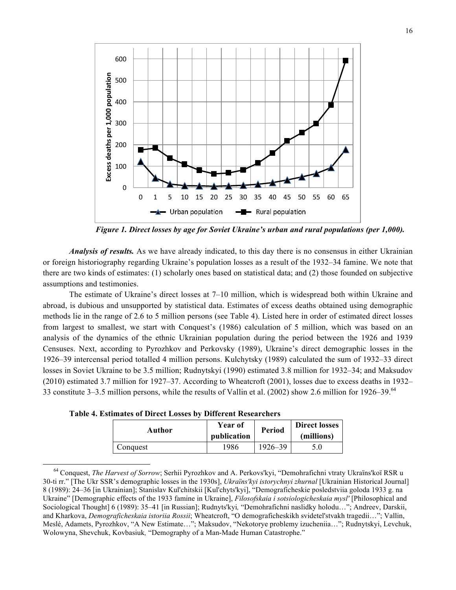

*Figure 1. Direct losses by age for Soviet Ukraine's urban and rural populations (per 1,000).*

*Analysis of results.* As we have already indicated, to this day there is no consensus in either Ukrainian or foreign historiography regarding Ukraine's population losses as a result of the 1932–34 famine. We note that there are two kinds of estimates: (1) scholarly ones based on statistical data; and (2) those founded on subjective assumptions and testimonies.

The estimate of Ukraine's direct losses at 7–10 million, which is widespread both within Ukraine and abroad, is dubious and unsupported by statistical data. Estimates of excess deaths obtained using demographic methods lie in the range of 2.6 to 5 million persons (see Table 4). Listed here in order of estimated direct losses from largest to smallest, we start with Conquest's (1986) calculation of 5 million, which was based on an analysis of the dynamics of the ethnic Ukrainian population during the period between the 1926 and 1939 Censuses. Next, according to Pyrozhkov and Perkovsky (1989), Ukraine's direct demographic losses in the 1926–39 intercensal period totalled 4 million persons. Kulchytsky (1989) calculated the sum of 1932–33 direct losses in Soviet Ukraine to be 3.5 million; Rudnytskyi (1990) estimated 3.8 million for 1932–34; and Maksudov (2010) estimated 3.7 million for 1927–37. According to Wheatcroft (2001), losses due to excess deaths in 1932– 33 constitute 3–3.5 million persons, while the results of Vallin et al. (2002) show 2.6 million for 1926–39.<sup>64</sup>

| Author   | Year of<br>publication | <b>Period</b> | <b>Direct losses</b><br>(millions) |  |
|----------|------------------------|---------------|------------------------------------|--|
| Conquest | 1986                   | 1926–39       | 5.0                                |  |

**Table 4. Estimates of Direct Losses by Different Researchers**

<u> 1989 - Johann Barn, mars eta bainar eta industrial eta baina eta baina eta baina eta baina eta baina eta bain</u>

<sup>64</sup> Conquest, *The Harvest of Sorrow*; Serhii Pyrozhkov and A. Perkovs'kyi, "Demohrafichni vtraty Ukraïns'koï RSR u 30-ti rr." [The Ukr SSR's demographic losses in the 1930s], *Ukraïns'kyi istorychnyi zhurnal* [Ukrainian Historical Journal] 8 (1989): 24–36 [in Ukrainian]; Stanislav Kul'chitskii [Kul'chyts'kyi], "Demograficheskie posledstviia goloda 1933 g. na Ukraine" [Demographic effects of the 1933 famine in Ukraine], *Filosofskaia i sotsiologicheskaia mysl'* [Philosophical and Sociological Thought] 6 (1989): 35–41 [in Russian]; Rudnyts'kyi*,* "Demohrafichni naslidky holodu…"; Andreev, Darskii, and Kharkova, *Demograficheskaia istoriia Rossii*; Wheatcroft, "O demograficheskikh svidetel'stvakh tragedii…"; Vallin, Meslé, Adamets, Pyrozhkov, "A New Estimate…"; Maksudov, "Nekotorye problemy izucheniia…"; Rudnytskyi, Levchuk, Wolowyna, Shevchuk, Kovbasiuk*,* "Demography of a Man-Made Human Catastrophe."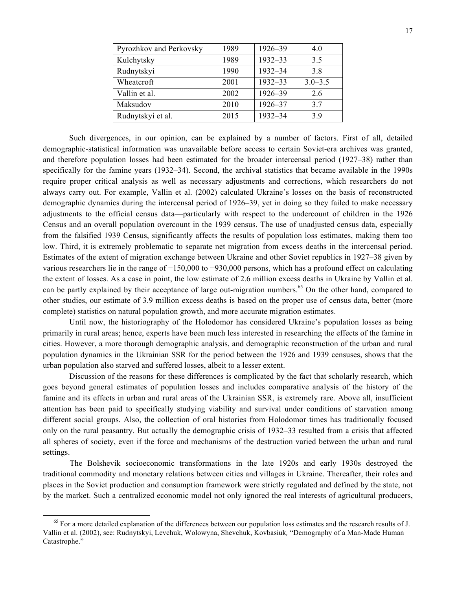| Pyrozhkov and Perkovsky | 1989 | 1926-39 | 4.0         |
|-------------------------|------|---------|-------------|
| Kulchytsky              | 1989 | 1932-33 | 3.5         |
| Rudnytskyi              | 1990 | 1932-34 | 38          |
| Wheatcroft              | 2001 | 1932-33 | $3.0 - 3.5$ |
| Vallin et al.           | 2002 | 1926-39 | 2.6         |
| Maksudov                | 2010 | 1926-37 | 3.7         |
| Rudnytskyi et al.       | 2015 | 1932-34 | 39          |

Such divergences, in our opinion, can be explained by a number of factors. First of all, detailed demographic-statistical information was unavailable before access to certain Soviet-era archives was granted, and therefore population losses had been estimated for the broader intercensal period (1927–38) rather than specifically for the famine years (1932–34). Second, the archival statistics that became available in the 1990s require proper critical analysis as well as necessary adjustments and corrections, which researchers do not always carry out. For example, Vallin et al. (2002) calculated Ukraine's losses on the basis of reconstructed demographic dynamics during the intercensal period of 1926–39, yet in doing so they failed to make necessary adjustments to the official census data—particularly with respect to the undercount of children in the 1926 Census and an overall population overcount in the 1939 census. The use of unadjusted census data, especially from the falsified 1939 Census, significantly affects the results of population loss estimates, making them too low. Third, it is extremely problematic to separate net migration from excess deaths in the intercensal period. Estimates of the extent of migration exchange between Ukraine and other Soviet republics in 1927–38 given by various researchers lie in the range of −150,000 to −930,000 persons, which has a profound effect on calculating the extent of losses. As a case in point, the low estimate of 2.6 million excess deaths in Ukraine by Vallin et al. can be partly explained by their acceptance of large out-migration numbers.<sup>65</sup> On the other hand, compared to other studies, our estimate of 3.9 million excess deaths is based on the proper use of census data, better (more complete) statistics on natural population growth, and more accurate migration estimates.

Until now, the historiography of the Holodomor has considered Ukraine's population losses as being primarily in rural areas; hence, experts have been much less interested in researching the effects of the famine in cities. However, a more thorough demographic analysis, and demographic reconstruction of the urban and rural population dynamics in the Ukrainian SSR for the period between the 1926 and 1939 censuses, shows that the urban population also starved and suffered losses, albeit to a lesser extent.

Discussion of the reasons for these differences is complicated by the fact that scholarly research, which goes beyond general estimates of population losses and includes comparative analysis of the history of the famine and its effects in urban and rural areas of the Ukrainian SSR, is extremely rare. Above all, insufficient attention has been paid to specifically studying viability and survival under conditions of starvation among different social groups. Also, the collection of oral histories from Holodomor times has traditionally focused only on the rural peasantry. But actually the demographic crisis of 1932–33 resulted from a crisis that affected all spheres of society, even if the force and mechanisms of the destruction varied between the urban and rural settings.

The Bolshevik socioeconomic transformations in the late 1920s and early 1930s destroyed the traditional commodity and monetary relations between cities and villages in Ukraine. Thereafter, their roles and places in the Soviet production and consumption framework were strictly regulated and defined by the state, not by the market. Such a centralized economic model not only ignored the real interests of agricultural producers,

<sup>&</sup>lt;sup>65</sup> For a more detailed explanation of the differences between our population loss estimates and the research results of J. Vallin et al. (2002), see: Rudnytskyi, Levchuk, Wolowyna, Shevchuk, Kovbasiuk*,* "Demography of a Man-Made Human Catastrophe."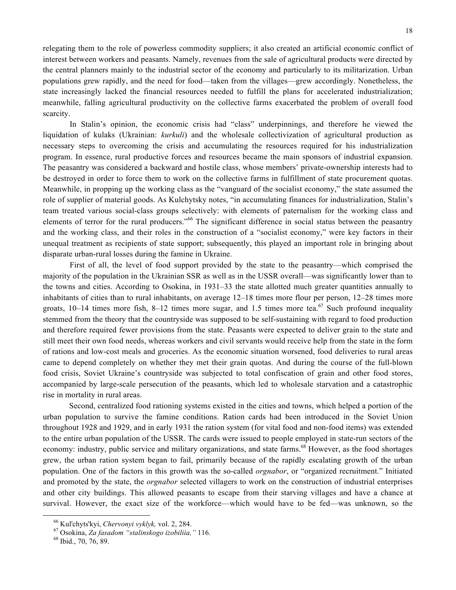relegating them to the role of powerless commodity suppliers; it also created an artificial economic conflict of interest between workers and peasants. Namely, revenues from the sale of agricultural products were directed by the central planners mainly to the industrial sector of the economy and particularly to its militarization. Urban populations grew rapidly, and the need for food—taken from the villages—grew accordingly. Nonetheless, the state increasingly lacked the financial resources needed to fulfill the plans for accelerated industrialization; meanwhile, falling agricultural productivity on the collective farms exacerbated the problem of overall food scarcity.

In Stalin's opinion, the economic crisis had "class" underpinnings, and therefore he viewed the liquidation of kulaks (Ukrainian: *kurkuli*) and the wholesale collectivization of agricultural production as necessary steps to overcoming the crisis and accumulating the resources required for his industrialization program. In essence, rural productive forces and resources became the main sponsors of industrial expansion. The peasantry was considered a backward and hostile class, whose members' private-ownership interests had to be destroyed in order to force them to work on the collective farms in fulfillment of state procurement quotas. Meanwhile, in propping up the working class as the "vanguard of the socialist economy," the state assumed the role of supplier of material goods. As Kulchytsky notes, "in accumulating finances for industrialization, Stalin's team treated various social-class groups selectively: with elements of paternalism for the working class and elements of terror for the rural producers."<sup>66</sup> The significant difference in social status between the peasantry and the working class, and their roles in the construction of a "socialist economy," were key factors in their unequal treatment as recipients of state support; subsequently, this played an important role in bringing about disparate urban-rural losses during the famine in Ukraine.

First of all, the level of food support provided by the state to the peasantry—which comprised the majority of the population in the Ukrainian SSR as well as in the USSR overall—was significantly lower than to the towns and cities. According to Osokina, in 1931–33 the state allotted much greater quantities annually to inhabitants of cities than to rural inhabitants, on average 12–18 times more flour per person, 12–28 times more groats, 10–14 times more fish, 8–12 times more sugar, and 1.5 times more tea.<sup>67</sup> Such profound inequality stemmed from the theory that the countryside was supposed to be self-sustaining with regard to food production and therefore required fewer provisions from the state. Peasants were expected to deliver grain to the state and still meet their own food needs, whereas workers and civil servants would receive help from the state in the form of rations and low-cost meals and groceries. As the economic situation worsened, food deliveries to rural areas came to depend completely on whether they met their grain quotas. And during the course of the full-blown food crisis, Soviet Ukraine's countryside was subjected to total confiscation of grain and other food stores, accompanied by large-scale persecution of the peasants, which led to wholesale starvation and a catastrophic rise in mortality in rural areas.

Second, centralized food rationing systems existed in the cities and towns, which helped a portion of the urban population to survive the famine conditions. Ration cards had been introduced in the Soviet Union throughout 1928 and 1929, and in early 1931 the ration system (for vital food and non-food items) was extended to the entire urban population of the USSR. The cards were issued to people employed in state-run sectors of the economy: industry, public service and military organizations, and state farms.<sup>68</sup> However, as the food shortages grew, the urban ration system began to fail, primarily because of the rapidly escalating growth of the urban population. One of the factors in this growth was the so-called *orgnabor*, or "organized recruitment." Initiated and promoted by the state, the *orgnabor* selected villagers to work on the construction of industrial enterprises and other city buildings. This allowed peasants to escape from their starving villages and have a chance at survival. However, the exact size of the workforce—which would have to be fed—was unknown, so the

 <sup>66</sup> Kul'chyts'kyi, *Chervonyi vyklyk,* vol. 2, 284. <sup>67</sup> Osokina, *Za fasadom "stalinskogo izobiliia,"* 116. <sup>68</sup> Ibid., 70, 76, 89.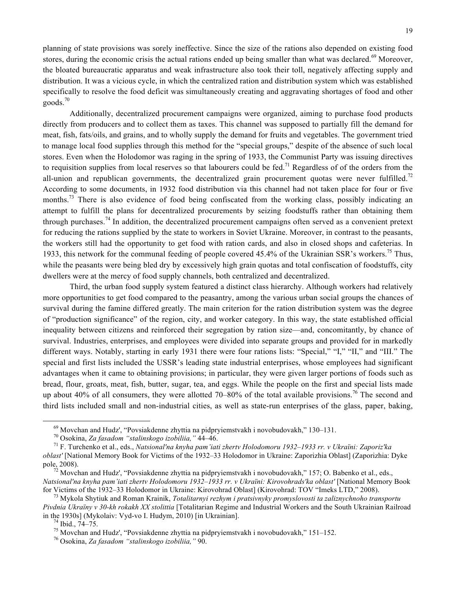planning of state provisions was sorely ineffective. Since the size of the rations also depended on existing food stores, during the economic crisis the actual rations ended up being smaller than what was declared.<sup>69</sup> Moreover, the bloated bureaucratic apparatus and weak infrastructure also took their toll, negatively affecting supply and distribution. It was a vicious cycle, in which the centralized ration and distribution system which was established specifically to resolve the food deficit was simultaneously creating and aggravating shortages of food and other  $200\text{ds}$ <sup>70</sup>

Additionally, decentralized procurement campaigns were organized, aiming to purchase food products directly from producers and to collect them as taxes. This channel was supposed to partially fill the demand for meat, fish, fats/oils, and grains, and to wholly supply the demand for fruits and vegetables. The government tried to manage local food supplies through this method for the "special groups," despite of the absence of such local stores. Even when the Holodomor was raging in the spring of 1933, the Communist Party was issuing directives to requisition supplies from local reserves so that labourers could be fed.<sup>71</sup> Regardless of of the orders from the all-union and republican governments, the decentralized grain procurement quotas were never fulfilled.<sup>72</sup> According to some documents, in 1932 food distribution via this channel had not taken place for four or five months.<sup>73</sup> There is also evidence of food being confiscated from the working class, possibly indicating an attempt to fulfill the plans for decentralized procurements by seizing foodstuffs rather than obtaining them through purchases.<sup>74</sup> In addition, the decentralized procurement campaigns often served as a convenient pretext for reducing the rations supplied by the state to workers in Soviet Ukraine. Moreover, in contrast to the peasants, the workers still had the opportunity to get food with ration cards, and also in closed shops and cafeterias. In 1933, this network for the communal feeding of people covered 45.4% of the Ukrainian SSR's workers.<sup>75</sup> Thus, while the peasants were being bled dry by excessively high grain quotas and total confiscation of foodstuffs, city dwellers were at the mercy of food supply channels, both centralized and decentralized.

Third, the urban food supply system featured a distinct class hierarchy. Although workers had relatively more opportunities to get food compared to the peasantry, among the various urban social groups the chances of survival during the famine differed greatly. The main criterion for the ration distribution system was the degree of "production significance" of the region, city, and worker category. In this way, the state established official inequality between citizens and reinforced their segregation by ration size—and, concomitantly, by chance of survival. Industries, enterprises, and employees were divided into separate groups and provided for in markedly different ways. Notably, starting in early 1931 there were four rations lists: "Special," "I," "II," and "III." The special and first lists included the USSR's leading state industrial enterprises, whose employees had significant advantages when it came to obtaining provisions; in particular, they were given larger portions of foods such as bread, flour, groats, meat, fish, butter, sugar, tea, and eggs. While the people on the first and special lists made up about 40% of all consumers, they were allotted 70–80% of the total available provisions.<sup>76</sup> The second and third lists included small and non-industrial cities, as well as state-run enterprises of the glass, paper, baking,

<sup>&</sup>lt;sup>69</sup> Movchan and Hudz', "Povsiakdenne zhyttia na pidpryiemstvakh i novobudovakh," 130–131.<br><sup>70</sup> Osokina, *Za fasadom "stalinskogo izobiliia*, " 44–46.<br><sup>71</sup> F. Turchenko et al., eds., *Natsional'na knyha pam'iati zhertv Ho* 

*oblast'* [National Memory Book for Victims of the 1932–33 Holodomor in Ukraine: Zaporizhia Oblast] (Zaporizhia: Dyke pole, 2008).<br><sup>72</sup> Movchan and Hudz', "Povsiakdenne zhyttia na pidpryiemstvakh i novobudovakh," 157; O. Babenko et al., eds.,

*Natsional'na knyha pam'iati zhertv Holodomoru 1932–1933 rr. v Ukraïni: Kirovohrads'ka oblast'* [National Memory Book for Victims of the 1932–33 Holodomor in Ukraine: Kirovohrad Oblast] (Kirovohrad: TOV "Imeks LTD," 2008).<br><sup>73</sup> Mykola Shytiuk and Roman Krainik, *Totalitarnyi rezhym i pratsivnyky promyslovosti ta zaliznychnoho transportu* 

*Pivdnia Ukraïny v 30-kh rokakh XX stolittia* [Totalitarian Regime and Industrial Workers and the South Ukrainian Railroad in the 1930s] (Mykolaiv: Vyd-vo I. Hudym, 2010) [in Ukrainian].<br><sup>74</sup> Ibid., 74–75.<br><sup>75</sup> Movchan and Hudz', "Povsiakdenne zhyttia na pidpryiemstvakh i novobudovakh," 151–152.<br><sup>76</sup> Osokina, *Za fasadom "stalinskogo izobilii*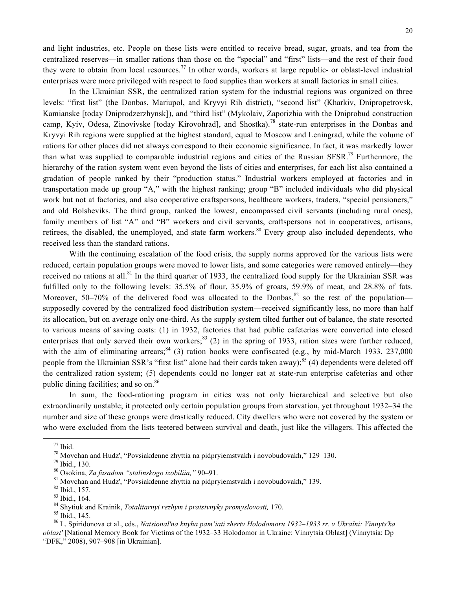and light industries, etc. People on these lists were entitled to receive bread, sugar, groats, and tea from the centralized reserves—in smaller rations than those on the "special" and "first" lists—and the rest of their food they were to obtain from local resources.<sup>77</sup> In other words, workers at large republic- or oblast-level industrial enterprises were more privileged with respect to food supplies than workers at small factories in small cities.

In the Ukrainian SSR, the centralized ration system for the industrial regions was organized on three levels: "first list" (the Donbas, Mariupol, and Kryvyi Rih district), "second list" (Kharkiv, Dnipropetrovsk, Kamianske [today Dniprodzerzhynsk]), and "third list" (Mykolaiv, Zaporizhia with the Dniprobud construction camp, Kyiv, Odesa, Zinovivske [today Kirovohrad], and Shostka).<sup>78</sup> state-run enterprises in the Donbas and Kryvyi Rih regions were supplied at the highest standard, equal to Moscow and Leningrad, while the volume of rations for other places did not always correspond to their economic significance. In fact, it was markedly lower than what was supplied to comparable industrial regions and cities of the Russian SFSR.<sup>79</sup> Furthermore, the hierarchy of the ration system went even beyond the lists of cities and enterprises, for each list also contained a gradation of people ranked by their "production status." Industrial workers employed at factories and in transportation made up group "A," with the highest ranking; group "B" included individuals who did physical work but not at factories, and also cooperative craftspersons, healthcare workers, traders, "special pensioners," and old Bolsheviks. The third group, ranked the lowest, encompassed civil servants (including rural ones), family members of list "A" and "B" workers and civil servants, craftspersons not in cooperatives, artisans, retirees, the disabled, the unemployed, and state farm workers.<sup>80</sup> Every group also included dependents, who received less than the standard rations.

With the continuing escalation of the food crisis, the supply norms approved for the various lists were reduced, certain population groups were moved to lower lists, and some categories were removed entirely—they received no rations at all.<sup>81</sup> In the third quarter of 1933, the centralized food supply for the Ukrainian SSR was fulfilled only to the following levels: 35.5% of flour, 35.9% of groats, 59.9% of meat, and 28.8% of fats. Moreover, 50–70% of the delivered food was allocated to the Donbas,  $82$  so the rest of the population supposedly covered by the centralized food distribution system—received significantly less, no more than half its allocation, but on average only one-third. As the supply system tilted further out of balance, the state resorted to various means of saving costs: (1) in 1932, factories that had public cafeterias were converted into closed enterprises that only served their own workers;  $83$  (2) in the spring of 1933, ration sizes were further reduced, with the aim of eliminating arrears;  $84$  (3) ration books were confiscated (e.g., by mid-March 1933, 237,000 people from the Ukrainian SSR's "first list" alone had their cards taken away);<sup>85</sup> (4) dependents were deleted off the centralized ration system; (5) dependents could no longer eat at state-run enterprise cafeterias and other public dining facilities; and so on.<sup>86</sup>

In sum, the food-rationing program in cities was not only hierarchical and selective but also extraordinarily unstable; it protected only certain population groups from starvation, yet throughout 1932–34 the number and size of these groups were drastically reduced. City dwellers who were not covered by the system or who were excluded from the lists teetered between survival and death, just like the villagers. This affected the

<sup>&</sup>lt;sup>77</sup> Ibid.<br><sup>78</sup> Movchan and Hudz', "Povsiakdenne zhyttia na pidpryiemstvakh i novobudovakh," 129–130.<br><sup>79</sup> Ibid., 130.<br><sup>80</sup> Osokina, *Za fasadom "stalinskogo izobiliia*, " 90–91.<br><sup>81</sup> Movchan and Hudz', "Povsiakdenne zhytt *oblast'* [National Memory Book for Victims of the 1932–33 Holodomor in Ukraine: Vinnytsia Oblast] (Vinnytsia: Dp "DFK," 2008), 907–908 [in Ukrainian].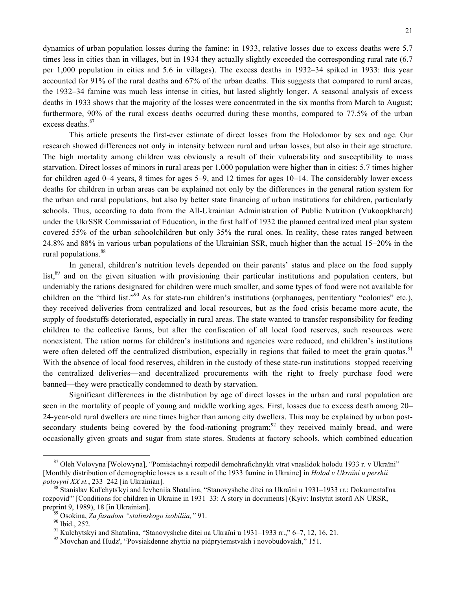dynamics of urban population losses during the famine: in 1933, relative losses due to excess deaths were 5.7 times less in cities than in villages, but in 1934 they actually slightly exceeded the corresponding rural rate (6.7 per 1,000 population in cities and 5.6 in villages). The excess deaths in 1932–34 spiked in 1933: this year accounted for 91% of the rural deaths and 67% of the urban deaths. This suggests that compared to rural areas, the 1932–34 famine was much less intense in cities, but lasted slightly longer. A seasonal analysis of excess deaths in 1933 shows that the majority of the losses were concentrated in the six months from March to August; furthermore, 90% of the rural excess deaths occurred during these months, compared to 77.5% of the urban excess deaths. 87

This article presents the first-ever estimate of direct losses from the Holodomor by sex and age. Our research showed differences not only in intensity between rural and urban losses, but also in their age structure. The high mortality among children was obviously a result of their vulnerability and susceptibility to mass starvation. Direct losses of minors in rural areas per 1,000 population were higher than in cities: 5.7 times higher for children aged 0–4 years, 8 times for ages 5–9, and 12 times for ages 10–14. The considerably lower excess deaths for children in urban areas can be explained not only by the differences in the general ration system for the urban and rural populations, but also by better state financing of urban institutions for children, particularly schools. Thus, according to data from the All-Ukrainian Administration of Public Nutrition (Vukoopkharch) under the UkrSSR Commissariat of Education, in the first half of 1932 the planned centralized meal plan system covered 55% of the urban schoolchildren but only 35% the rural ones. In reality, these rates ranged between 24.8% and 88% in various urban populations of the Ukrainian SSR, much higher than the actual 15–20% in the rural populations. 88

In general, children's nutrition levels depended on their parents' status and place on the food supply list,<sup>89</sup> and on the given situation with provisioning their particular institutions and population centers, but undeniably the rations designated for children were much smaller, and some types of food were not available for children on the "third list."<sup>90</sup> As for state-run children's institutions (orphanages, penitentiary "colonies" etc.), they received deliveries from centralized and local resources, but as the food crisis became more acute, the supply of foodstuffs deteriorated, especially in rural areas. The state wanted to transfer responsibility for feeding children to the collective farms, but after the confiscation of all local food reserves, such resources were nonexistent. The ration norms for children's institutions and agencies were reduced, and children's institutions were often deleted off the centralized distribution, especially in regions that failed to meet the grain quotas.<sup>91</sup> With the absence of local food reserves, children in the custody of these state-run institutions stopped receiving the centralized deliveries—and decentralized procurements with the right to freely purchase food were banned—they were practically condemned to death by starvation.

Significant differences in the distribution by age of direct losses in the urban and rural population are seen in the mortality of people of young and middle working ages. First, losses due to excess death among 20– 24-year-old rural dwellers are nine times higher than among city dwellers. This may be explained by urban postsecondary students being covered by the food-rationing program; $^{92}$  they received mainly bread, and were occasionally given groats and sugar from state stores. Students at factory schools, which combined education

<sup>87</sup> Oleh Volovyna [Wolowyna], "Pomisiachnyi rozpodil demohrafichnykh vtrat vnaslidok holodu 1933 r. v Ukraïni" [Monthly distribution of demographic losses as a result of the 1933 famine in Ukraine] in *Holod v Ukraïni u pershii polovyni XX st.*, 233–242 [in Ukrainian].<br><sup>88</sup> Stanislav Kul'chyts'kyi and Ievheniia Shatalina, "Stanovyshche ditei na Ukraïni u 1931–1933 rr.: Dokumental'na

rozpovid'" [Conditions for children in Ukraine in 1931–33: A story in documents] (Kyiv: Instytut istoriï AN URSR, preprint 9, 1989), 18 [in Ukrainian].<br><sup>89</sup> Osokina, *Za fasadom "stalinskogo izobiliia*," 91.<br><sup>90</sup> Ibid., 252.<br><sup>91</sup> Kulchytskyi and Shatalina, "Stanovyshche ditei na Ukraïni u 1931–1933 rr.," 6–7, 12, 16, 21.<br><sup>92</sup> Movchan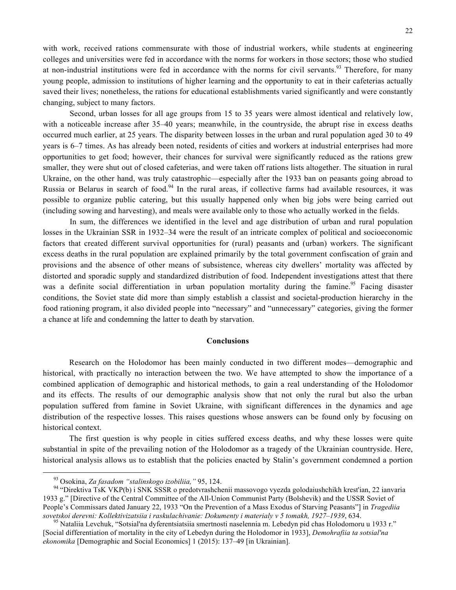with work, received rations commensurate with those of industrial workers, while students at engineering colleges and universities were fed in accordance with the norms for workers in those sectors; those who studied at non-industrial institutions were fed in accordance with the norms for civil servants.<sup>93</sup> Therefore, for many young people, admission to institutions of higher learning and the opportunity to eat in their cafeterias actually saved their lives; nonetheless, the rations for educational establishments varied significantly and were constantly changing, subject to many factors.

Second, urban losses for all age groups from 15 to 35 years were almost identical and relatively low, with a noticeable increase after 35–40 years; meanwhile, in the countryside, the abrupt rise in excess deaths occurred much earlier, at 25 years. The disparity between losses in the urban and rural population aged 30 to 49 years is 6–7 times. As has already been noted, residents of cities and workers at industrial enterprises had more opportunities to get food; however, their chances for survival were significantly reduced as the rations grew smaller, they were shut out of closed cafeterias, and were taken off rations lists altogether. The situation in rural Ukraine, on the other hand, was truly catastrophic—especially after the 1933 ban on peasants going abroad to Russia or Belarus in search of food.<sup>94</sup> In the rural areas, if collective farms had available resources, it was possible to organize public catering, but this usually happened only when big jobs were being carried out (including sowing and harvesting), and meals were available only to those who actually worked in the fields.

In sum, the differences we identified in the level and age distribution of urban and rural population losses in the Ukrainian SSR in 1932–34 were the result of an intricate complex of political and socioeconomic factors that created different survival opportunities for (rural) peasants and (urban) workers. The significant excess deaths in the rural population are explained primarily by the total government confiscation of grain and provisions and the absence of other means of subsistence, whereas city dwellers' mortality was affected by distorted and sporadic supply and standardized distribution of food. Independent investigations attest that there was a definite social differentiation in urban population mortality during the famine.<sup>95</sup> Facing disaster conditions, the Soviet state did more than simply establish a classist and societal-production hierarchy in the food rationing program, it also divided people into "necessary" and "unnecessary" categories, giving the former a chance at life and condemning the latter to death by starvation.

## **Conclusions**

Research on the Holodomor has been mainly conducted in two different modes—demographic and historical, with practically no interaction between the two. We have attempted to show the importance of a combined application of demographic and historical methods, to gain a real understanding of the Holodomor and its effects. The results of our demographic analysis show that not only the rural but also the urban population suffered from famine in Soviet Ukraine, with significant differences in the dynamics and age distribution of the respective losses. This raises questions whose answers can be found only by focusing on historical context.

The first question is why people in cities suffered excess deaths, and why these losses were quite substantial in spite of the prevailing notion of the Holodomor as a tragedy of the Ukrainian countryside. Here, historical analysis allows us to establish that the policies enacted by Stalin's government condemned a portion

<sup>&</sup>lt;sup>93</sup> Osokina, *Za fasadom "stalinskogo izobiliia*, " 95, 124.<br><sup>94</sup> "Direktiva TsK VKP(b) i SNK SSSR o predotvrashchenii massovogo vyezda golodaiushchikh krest'ian, 22 ianvaria 1933 g." [Directive of the Central Committee of the All-Union Communist Party (Bolshevik) and the USSR Soviet of People's Commissars dated January 22, 1933 "On the Prevention of a Mass Exodus of Starving Peasants"] in *Tragediia*  sovetskoi derevni: Kollektivizatsiia i raskulachivanie: Dokumenty i materialy v 5 tomakh, 1927–1939, 634.<br><sup>95</sup> Nataliia Levchuk, "Sotsial'na dyferentsiatsiia smertnosti naselennia m. Lebedyn pid chas Holodomoru u 1933 r."

<sup>[</sup>Social differentiation of mortality in the city of Lebedyn during the Holodomor in 1933], *Demohrafiia ta sotsial'na ekonomika* [Demographic and Social Economics] 1 (2015): 137–49 [in Ukrainian].